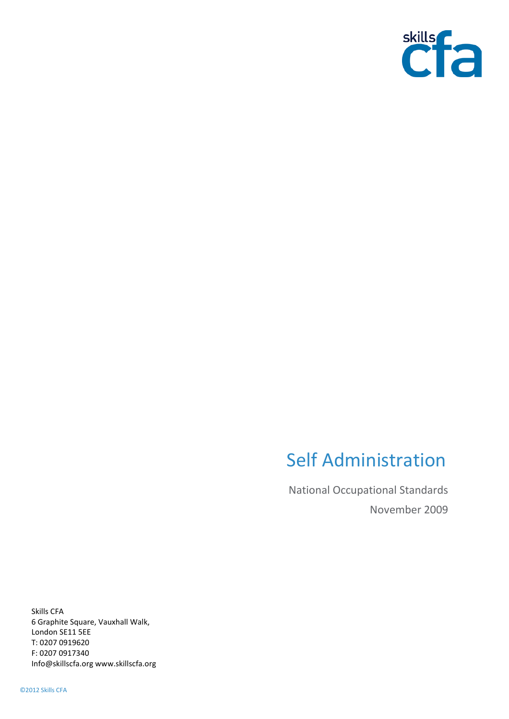

# Self Administration

National Occupational Standards November 2009

Skills CFA 6 Graphite Square, Vauxhall Walk, London SE11 5EE T: 0207 0919620 F: 0207 0917340 Info@skillscfa.org www.skillscfa.org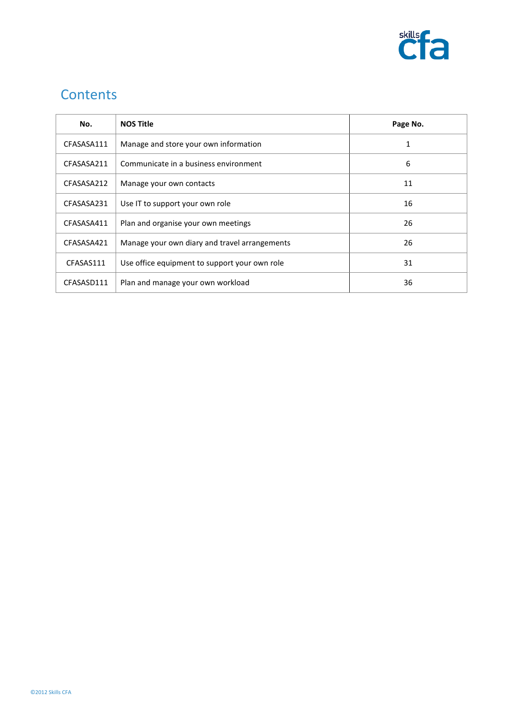

# **Contents**

| No.        | <b>NOS Title</b>                              | Page No. |
|------------|-----------------------------------------------|----------|
| CFASASA111 | Manage and store your own information         |          |
| CFASASA211 | Communicate in a business environment         | 6        |
| CFASASA212 | Manage your own contacts                      | 11       |
| CFASASA231 | Use IT to support your own role               | 16       |
| CFASASA411 | Plan and organise your own meetings           | 26       |
| CFASASA421 | Manage your own diary and travel arrangements | 26       |
| CFASAS111  | Use office equipment to support your own role | 31       |
| CFASASD111 | Plan and manage your own workload             | 36       |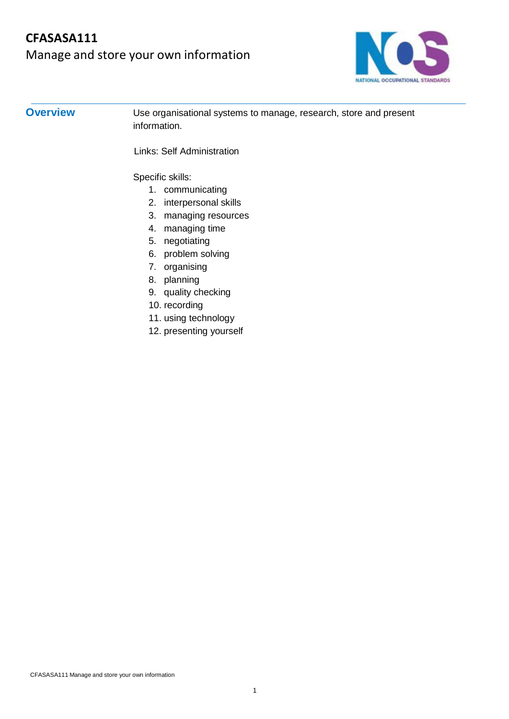# **CFASASA111** Manage and store your own information



# **Overview** Use organisational systems to manage, research, store and present information. Links: Self Administration Specific skills: 1. communicating 2. interpersonal skills 3. managing resources 4. managing time 5. negotiating 6. problem solving 7. organising 8. planning

- 9. quality checking
- 10. recording
- 11. using technology
- 12. presenting yourself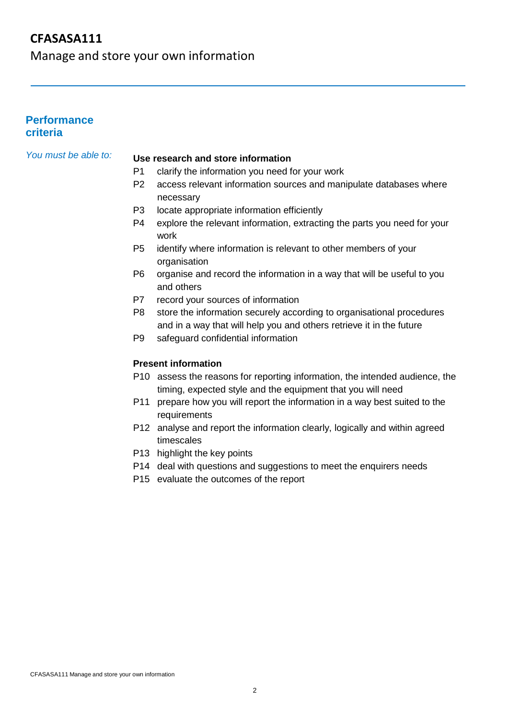Manage and store your own information

### **Performance criteria**

## *You must be able to:* **Use research and store information**

- P1 clarify the information you need for your work
- P2 access relevant information sources and manipulate databases where necessary
- P3 locate appropriate information efficiently
- P4 explore the relevant information, extracting the parts you need for your work
- P5 identify where information is relevant to other members of your organisation
- P6 organise and record the information in a way that will be useful to you and others
- P7 record your sources of information
- P8 store the information securely according to organisational procedures and in a way that will help you and others retrieve it in the future
- P9 safeguard confidential information

#### **Present information**

- P10 assess the reasons for reporting information, the intended audience, the timing, expected style and the equipment that you will need
- P11 prepare how you will report the information in a way best suited to the requirements
- P12 analyse and report the information clearly, logically and within agreed timescales
- P13 highlight the key points
- P14 deal with questions and suggestions to meet the enquirers needs
- P15 evaluate the outcomes of the report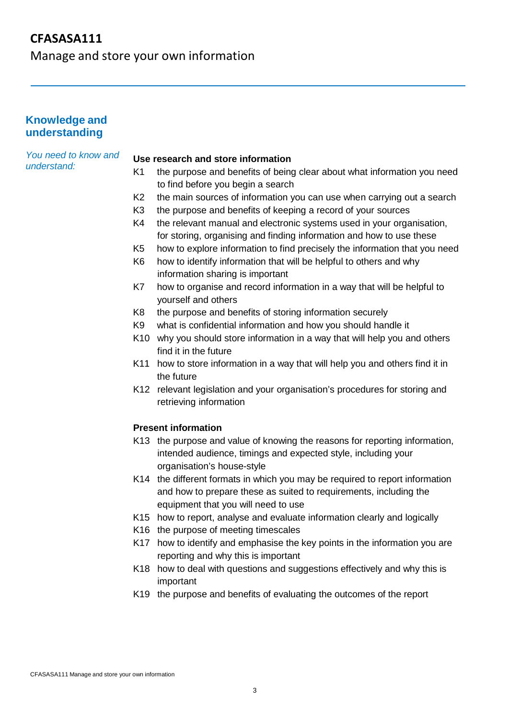Manage and store your own information

#### **Knowledge and understanding**

*You need to know and understand:*

#### **Use research and store information**

- K1 the purpose and benefits of being clear about what information you need to find before you begin a search
- K2 the main sources of information you can use when carrying out a search
- K3 the purpose and benefits of keeping a record of your sources
- K4 the relevant manual and electronic systems used in your organisation, for storing, organising and finding information and how to use these
- K5 how to explore information to find precisely the information that you need
- K6 how to identify information that will be helpful to others and why information sharing is important
- K7 how to organise and record information in a way that will be helpful to yourself and others
- K8 the purpose and benefits of storing information securely
- K9 what is confidential information and how you should handle it
- K10 why you should store information in a way that will help you and others find it in the future
- K11 how to store information in a way that will help you and others find it in the future
- K12 relevant legislation and your organisation's procedures for storing and retrieving information

#### **Present information**

- K13 the purpose and value of knowing the reasons for reporting information, intended audience, timings and expected style, including your organisation's house-style
- K14 the different formats in which you may be required to report information and how to prepare these as suited to requirements, including the equipment that you will need to use
- K15 how to report, analyse and evaluate information clearly and logically
- K16 the purpose of meeting timescales
- K17 how to identify and emphasise the key points in the information you are reporting and why this is important
- K18 how to deal with questions and suggestions effectively and why this is important
- K19 the purpose and benefits of evaluating the outcomes of the report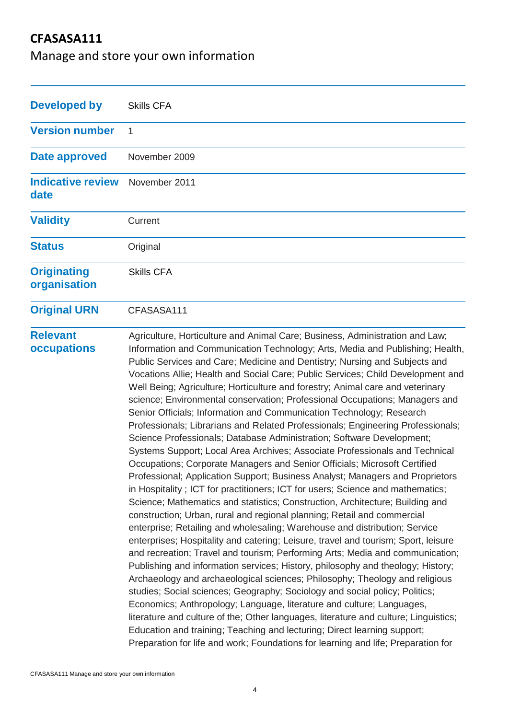Manage and store your own information

| <b>Developed by</b>                | <b>Skills CFA</b>                                                                                                                                                                                                                                                                                                                                                                                                                                                                                                                                                                                                                                                                                                                                                                                                                                                                                                                                                                                                                                                                                                                                                                                                                                                                                                                                                                                                                                                                                                                                                                                                                                                                                                                                                                                                                                                                                                                                                                                                                                                      |
|------------------------------------|------------------------------------------------------------------------------------------------------------------------------------------------------------------------------------------------------------------------------------------------------------------------------------------------------------------------------------------------------------------------------------------------------------------------------------------------------------------------------------------------------------------------------------------------------------------------------------------------------------------------------------------------------------------------------------------------------------------------------------------------------------------------------------------------------------------------------------------------------------------------------------------------------------------------------------------------------------------------------------------------------------------------------------------------------------------------------------------------------------------------------------------------------------------------------------------------------------------------------------------------------------------------------------------------------------------------------------------------------------------------------------------------------------------------------------------------------------------------------------------------------------------------------------------------------------------------------------------------------------------------------------------------------------------------------------------------------------------------------------------------------------------------------------------------------------------------------------------------------------------------------------------------------------------------------------------------------------------------------------------------------------------------------------------------------------------------|
| <b>Version number</b>              | 1                                                                                                                                                                                                                                                                                                                                                                                                                                                                                                                                                                                                                                                                                                                                                                                                                                                                                                                                                                                                                                                                                                                                                                                                                                                                                                                                                                                                                                                                                                                                                                                                                                                                                                                                                                                                                                                                                                                                                                                                                                                                      |
| Date approved                      | November 2009                                                                                                                                                                                                                                                                                                                                                                                                                                                                                                                                                                                                                                                                                                                                                                                                                                                                                                                                                                                                                                                                                                                                                                                                                                                                                                                                                                                                                                                                                                                                                                                                                                                                                                                                                                                                                                                                                                                                                                                                                                                          |
| <b>Indicative review</b><br>date   | November 2011                                                                                                                                                                                                                                                                                                                                                                                                                                                                                                                                                                                                                                                                                                                                                                                                                                                                                                                                                                                                                                                                                                                                                                                                                                                                                                                                                                                                                                                                                                                                                                                                                                                                                                                                                                                                                                                                                                                                                                                                                                                          |
| <b>Validity</b>                    | Current                                                                                                                                                                                                                                                                                                                                                                                                                                                                                                                                                                                                                                                                                                                                                                                                                                                                                                                                                                                                                                                                                                                                                                                                                                                                                                                                                                                                                                                                                                                                                                                                                                                                                                                                                                                                                                                                                                                                                                                                                                                                |
| <b>Status</b>                      | Original                                                                                                                                                                                                                                                                                                                                                                                                                                                                                                                                                                                                                                                                                                                                                                                                                                                                                                                                                                                                                                                                                                                                                                                                                                                                                                                                                                                                                                                                                                                                                                                                                                                                                                                                                                                                                                                                                                                                                                                                                                                               |
| <b>Originating</b><br>organisation | <b>Skills CFA</b>                                                                                                                                                                                                                                                                                                                                                                                                                                                                                                                                                                                                                                                                                                                                                                                                                                                                                                                                                                                                                                                                                                                                                                                                                                                                                                                                                                                                                                                                                                                                                                                                                                                                                                                                                                                                                                                                                                                                                                                                                                                      |
| <b>Original URN</b>                | CFASASA111                                                                                                                                                                                                                                                                                                                                                                                                                                                                                                                                                                                                                                                                                                                                                                                                                                                                                                                                                                                                                                                                                                                                                                                                                                                                                                                                                                                                                                                                                                                                                                                                                                                                                                                                                                                                                                                                                                                                                                                                                                                             |
| <b>Relevant</b><br>occupations     | Agriculture, Horticulture and Animal Care; Business, Administration and Law;<br>Information and Communication Technology; Arts, Media and Publishing; Health,<br>Public Services and Care; Medicine and Dentistry; Nursing and Subjects and<br>Vocations Allie; Health and Social Care; Public Services; Child Development and<br>Well Being; Agriculture; Horticulture and forestry; Animal care and veterinary<br>science; Environmental conservation; Professional Occupations; Managers and<br>Senior Officials; Information and Communication Technology; Research<br>Professionals; Librarians and Related Professionals; Engineering Professionals;<br>Science Professionals; Database Administration; Software Development;<br>Systems Support; Local Area Archives; Associate Professionals and Technical<br>Occupations; Corporate Managers and Senior Officials; Microsoft Certified<br>Professional; Application Support; Business Analyst; Managers and Proprietors<br>in Hospitality; ICT for practitioners; ICT for users; Science and mathematics;<br>Science; Mathematics and statistics; Construction, Architecture; Building and<br>construction; Urban, rural and regional planning; Retail and commercial<br>enterprise; Retailing and wholesaling; Warehouse and distribution; Service<br>enterprises; Hospitality and catering; Leisure, travel and tourism; Sport, leisure<br>and recreation; Travel and tourism; Performing Arts; Media and communication;<br>Publishing and information services; History, philosophy and theology; History;<br>Archaeology and archaeological sciences; Philosophy; Theology and religious<br>studies; Social sciences; Geography; Sociology and social policy; Politics;<br>Economics; Anthropology; Language, literature and culture; Languages,<br>literature and culture of the; Other languages, literature and culture; Linguistics;<br>Education and training; Teaching and lecturing; Direct learning support;<br>Preparation for life and work; Foundations for learning and life; Preparation for |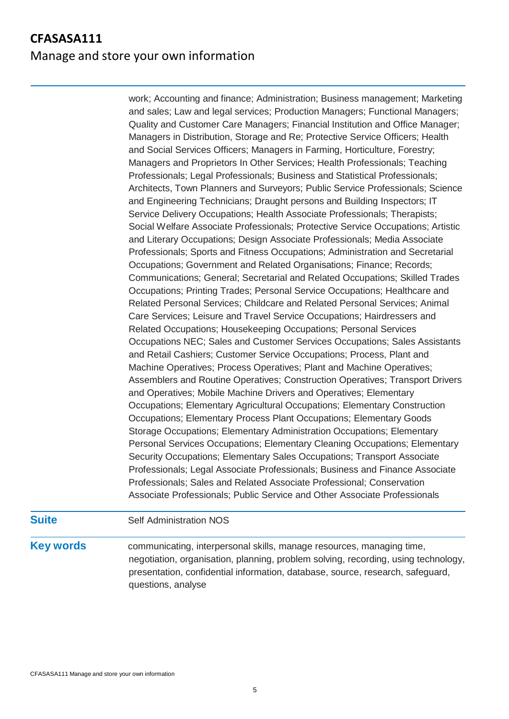# **CFASASA111** Manage and store your own information

work; Accounting and finance; Administration; Business management; Marketing and sales; Law and legal services; Production Managers; Functional Managers; Quality and Customer Care Managers; Financial Institution and Office Manager; Managers in Distribution, Storage and Re; Protective Service Officers; Health and Social Services Officers; Managers in Farming, Horticulture, Forestry; Managers and Proprietors In Other Services; Health Professionals; Teaching Professionals; Legal Professionals; Business and Statistical Professionals; Architects, Town Planners and Surveyors; Public Service Professionals; Science and Engineering Technicians; Draught persons and Building Inspectors; IT Service Delivery Occupations; Health Associate Professionals; Therapists; Social Welfare Associate Professionals; Protective Service Occupations; Artistic and Literary Occupations; Design Associate Professionals; Media Associate Professionals; Sports and Fitness Occupations; Administration and Secretarial Occupations; Government and Related Organisations; Finance; Records; Communications; General; Secretarial and Related Occupations; Skilled Trades Occupations; Printing Trades; Personal Service Occupations; Healthcare and Related Personal Services; Childcare and Related Personal Services; Animal Care Services; Leisure and Travel Service Occupations; Hairdressers and Related Occupations; Housekeeping Occupations; Personal Services Occupations NEC; Sales and Customer Services Occupations; Sales Assistants and Retail Cashiers; Customer Service Occupations; Process, Plant and Machine Operatives; Process Operatives; Plant and Machine Operatives; Assemblers and Routine Operatives; Construction Operatives; Transport Drivers and Operatives; Mobile Machine Drivers and Operatives; Elementary Occupations; Elementary Agricultural Occupations; Elementary Construction Occupations; Elementary Process Plant Occupations; Elementary Goods Storage Occupations; Elementary Administration Occupations; Elementary Personal Services Occupations; Elementary Cleaning Occupations; Elementary Security Occupations; Elementary Sales Occupations; Transport Associate Professionals; Legal Associate Professionals; Business and Finance Associate Professionals; Sales and Related Associate Professional; Conservation Associate Professionals; Public Service and Other Associate Professionals

#### **Suite** Self Administration NOS

**Key words** communicating, interpersonal skills, manage resources, managing time, negotiation, organisation, planning, problem solving, recording, using technology, presentation, confidential information, database, source, research, safeguard, questions, analyse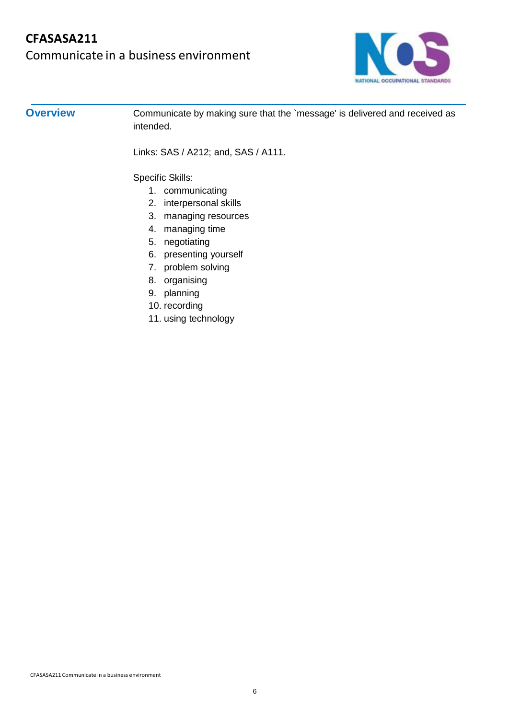

**Overview** Communicate by making sure that the `message' is delivered and received as intended.

Links: SAS / A212; and, SAS / A111.

Specific Skills:

- 1. communicating
- 2. interpersonal skills
- 3. managing resources
- 4. managing time
- 5. negotiating
- 6. presenting yourself
- 7. problem solving
- 8. organising
- 9. planning
- 10. recording
- 11. using technology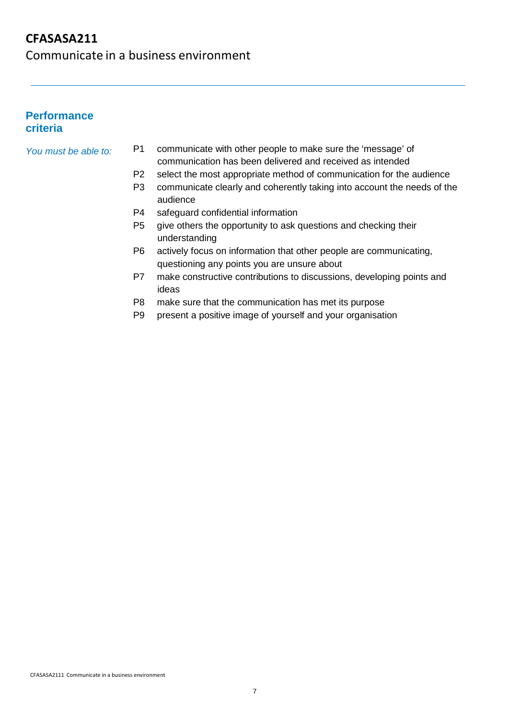Communicate in a business environment

### **Performance criteria**

- *You must be able to:* P1 communicate with other people to make sure the 'message' of communication has been delivered and received as intended
	- P2 select the most appropriate method of communication for the audience
	- P3 communicate clearly and coherently taking into account the needs of the audience
	- P4 safeguard confidential information
	- P5 give others the opportunity to ask questions and checking their understanding
	- P6 actively focus on information that other people are communicating, questioning any points you are unsure about
	- P7 make constructive contributions to discussions, developing points and ideas
	- P8 make sure that the communication has met its purpose
	- P9 present a positive image of yourself and your organisation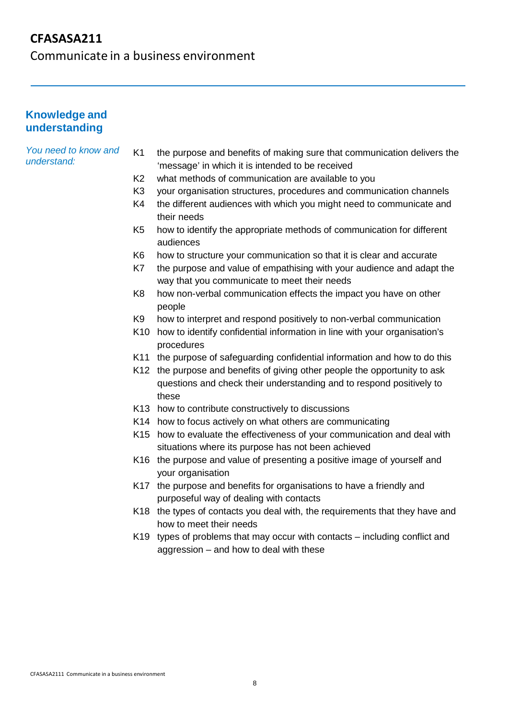Communicate in a business environment

#### **Knowledge and understanding**

#### *You need to know and understand:*

- K1 the purpose and benefits of making sure that communication delivers the 'message' in which it is intended to be received
- K2 what methods of communication are available to you
- K3 your organisation structures, procedures and communication channels
- K4 the different audiences with which you might need to communicate and their needs
- K5 how to identify the appropriate methods of communication for different audiences
- K6 how to structure your communication so that it is clear and accurate
- K7 the purpose and value of empathising with your audience and adapt the way that you communicate to meet their needs
- K8 how non-verbal communication effects the impact you have on other people
- K9 how to interpret and respond positively to non-verbal communication
- K10 how to identify confidential information in line with your organisation's procedures
- K11 the purpose of safeguarding confidential information and how to do this
- K12 the purpose and benefits of giving other people the opportunity to ask questions and check their understanding and to respond positively to these
- K13 how to contribute constructively to discussions
- K14 how to focus actively on what others are communicating
- K15 how to evaluate the effectiveness of your communication and deal with situations where its purpose has not been achieved
- K16 the purpose and value of presenting a positive image of yourself and your organisation
- K17 the purpose and benefits for organisations to have a friendly and purposeful way of dealing with contacts
- K18 the types of contacts you deal with, the requirements that they have and how to meet their needs
- K19 types of problems that may occur with contacts including conflict and aggression – and how to deal with these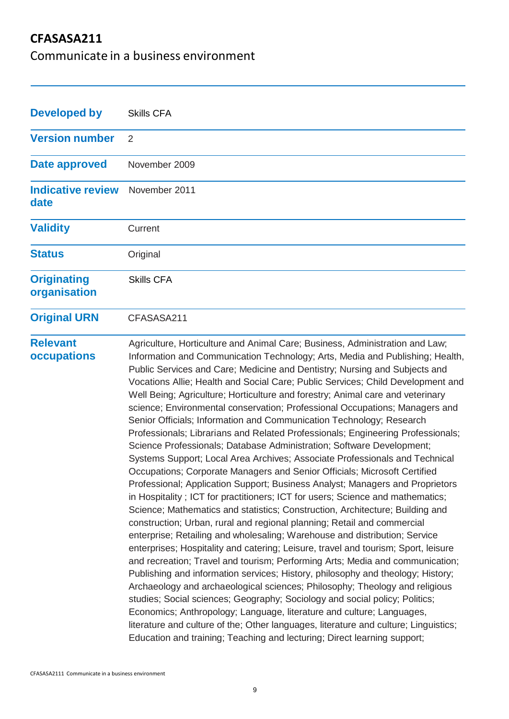Communicate in a business environment

| <b>Developed by</b>                | <b>Skills CFA</b>                                                                                                                                                                                                                                                                                                                                                                                                                                                                                                                                                                                                                                                                                                                                                                                                                                                                                                                                                                                                                                                                                                                                                                                                                                                                                                                                                                                                                                                                                                                                                                                                                                                                                                                                                                                                                                                                                                                                                                 |
|------------------------------------|-----------------------------------------------------------------------------------------------------------------------------------------------------------------------------------------------------------------------------------------------------------------------------------------------------------------------------------------------------------------------------------------------------------------------------------------------------------------------------------------------------------------------------------------------------------------------------------------------------------------------------------------------------------------------------------------------------------------------------------------------------------------------------------------------------------------------------------------------------------------------------------------------------------------------------------------------------------------------------------------------------------------------------------------------------------------------------------------------------------------------------------------------------------------------------------------------------------------------------------------------------------------------------------------------------------------------------------------------------------------------------------------------------------------------------------------------------------------------------------------------------------------------------------------------------------------------------------------------------------------------------------------------------------------------------------------------------------------------------------------------------------------------------------------------------------------------------------------------------------------------------------------------------------------------------------------------------------------------------------|
| <b>Version number</b>              | $\overline{2}$                                                                                                                                                                                                                                                                                                                                                                                                                                                                                                                                                                                                                                                                                                                                                                                                                                                                                                                                                                                                                                                                                                                                                                                                                                                                                                                                                                                                                                                                                                                                                                                                                                                                                                                                                                                                                                                                                                                                                                    |
| Date approved                      | November 2009                                                                                                                                                                                                                                                                                                                                                                                                                                                                                                                                                                                                                                                                                                                                                                                                                                                                                                                                                                                                                                                                                                                                                                                                                                                                                                                                                                                                                                                                                                                                                                                                                                                                                                                                                                                                                                                                                                                                                                     |
| <b>Indicative review</b><br>date   | November 2011                                                                                                                                                                                                                                                                                                                                                                                                                                                                                                                                                                                                                                                                                                                                                                                                                                                                                                                                                                                                                                                                                                                                                                                                                                                                                                                                                                                                                                                                                                                                                                                                                                                                                                                                                                                                                                                                                                                                                                     |
| <b>Validity</b>                    | Current                                                                                                                                                                                                                                                                                                                                                                                                                                                                                                                                                                                                                                                                                                                                                                                                                                                                                                                                                                                                                                                                                                                                                                                                                                                                                                                                                                                                                                                                                                                                                                                                                                                                                                                                                                                                                                                                                                                                                                           |
| <b>Status</b>                      | Original                                                                                                                                                                                                                                                                                                                                                                                                                                                                                                                                                                                                                                                                                                                                                                                                                                                                                                                                                                                                                                                                                                                                                                                                                                                                                                                                                                                                                                                                                                                                                                                                                                                                                                                                                                                                                                                                                                                                                                          |
| <b>Originating</b><br>organisation | <b>Skills CFA</b>                                                                                                                                                                                                                                                                                                                                                                                                                                                                                                                                                                                                                                                                                                                                                                                                                                                                                                                                                                                                                                                                                                                                                                                                                                                                                                                                                                                                                                                                                                                                                                                                                                                                                                                                                                                                                                                                                                                                                                 |
| <b>Original URN</b>                | CFASASA211                                                                                                                                                                                                                                                                                                                                                                                                                                                                                                                                                                                                                                                                                                                                                                                                                                                                                                                                                                                                                                                                                                                                                                                                                                                                                                                                                                                                                                                                                                                                                                                                                                                                                                                                                                                                                                                                                                                                                                        |
| <b>Relevant</b><br>occupations     | Agriculture, Horticulture and Animal Care; Business, Administration and Law;<br>Information and Communication Technology; Arts, Media and Publishing; Health,<br>Public Services and Care; Medicine and Dentistry; Nursing and Subjects and<br>Vocations Allie; Health and Social Care; Public Services; Child Development and<br>Well Being; Agriculture; Horticulture and forestry; Animal care and veterinary<br>science; Environmental conservation; Professional Occupations; Managers and<br>Senior Officials; Information and Communication Technology; Research<br>Professionals; Librarians and Related Professionals; Engineering Professionals;<br>Science Professionals; Database Administration; Software Development;<br>Systems Support; Local Area Archives; Associate Professionals and Technical<br>Occupations; Corporate Managers and Senior Officials; Microsoft Certified<br>Professional; Application Support; Business Analyst; Managers and Proprietors<br>in Hospitality; ICT for practitioners; ICT for users; Science and mathematics;<br>Science; Mathematics and statistics; Construction, Architecture; Building and<br>construction; Urban, rural and regional planning; Retail and commercial<br>enterprise; Retailing and wholesaling; Warehouse and distribution; Service<br>enterprises; Hospitality and catering; Leisure, travel and tourism; Sport, leisure<br>and recreation; Travel and tourism; Performing Arts; Media and communication;<br>Publishing and information services; History, philosophy and theology; History;<br>Archaeology and archaeological sciences; Philosophy; Theology and religious<br>studies; Social sciences; Geography; Sociology and social policy; Politics;<br>Economics; Anthropology; Language, literature and culture; Languages,<br>literature and culture of the; Other languages, literature and culture; Linguistics;<br>Education and training; Teaching and lecturing; Direct learning support; |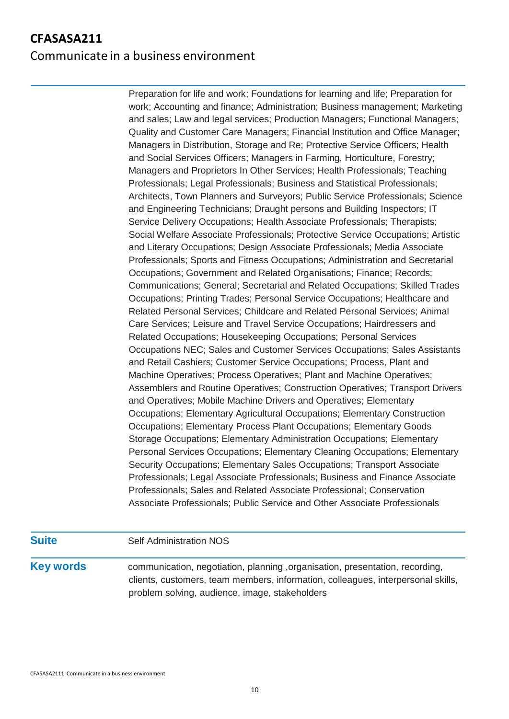# **CFASASA211** Communicate in a business environment

Preparation for life and work; Foundations for learning and life; Preparation for work; Accounting and finance; Administration; Business management; Marketing and sales; Law and legal services; Production Managers; Functional Managers; Quality and Customer Care Managers; Financial Institution and Office Manager; Managers in Distribution, Storage and Re; Protective Service Officers; Health and Social Services Officers; Managers in Farming, Horticulture, Forestry; Managers and Proprietors In Other Services; Health Professionals; Teaching Professionals; Legal Professionals; Business and Statistical Professionals; Architects, Town Planners and Surveyors; Public Service Professionals; Science and Engineering Technicians; Draught persons and Building Inspectors; IT Service Delivery Occupations; Health Associate Professionals; Therapists; Social Welfare Associate Professionals; Protective Service Occupations; Artistic and Literary Occupations; Design Associate Professionals; Media Associate Professionals; Sports and Fitness Occupations; Administration and Secretarial Occupations; Government and Related Organisations; Finance; Records; Communications; General; Secretarial and Related Occupations; Skilled Trades Occupations; Printing Trades; Personal Service Occupations; Healthcare and Related Personal Services; Childcare and Related Personal Services; Animal Care Services; Leisure and Travel Service Occupations; Hairdressers and Related Occupations; Housekeeping Occupations; Personal Services Occupations NEC; Sales and Customer Services Occupations; Sales Assistants and Retail Cashiers; Customer Service Occupations; Process, Plant and Machine Operatives; Process Operatives; Plant and Machine Operatives; Assemblers and Routine Operatives; Construction Operatives; Transport Drivers and Operatives; Mobile Machine Drivers and Operatives; Elementary Occupations; Elementary Agricultural Occupations; Elementary Construction Occupations; Elementary Process Plant Occupations; Elementary Goods Storage Occupations; Elementary Administration Occupations; Elementary Personal Services Occupations; Elementary Cleaning Occupations; Elementary Security Occupations; Elementary Sales Occupations; Transport Associate Professionals; Legal Associate Professionals; Business and Finance Associate Professionals; Sales and Related Associate Professional; Conservation Associate Professionals; Public Service and Other Associate Professionals

**Suite** Self Administration NOS **Key words** communication, negotiation, planning ,organisation, presentation, recording, clients, customers, team members, information, colleagues, interpersonal skills, problem solving, audience, image, stakeholders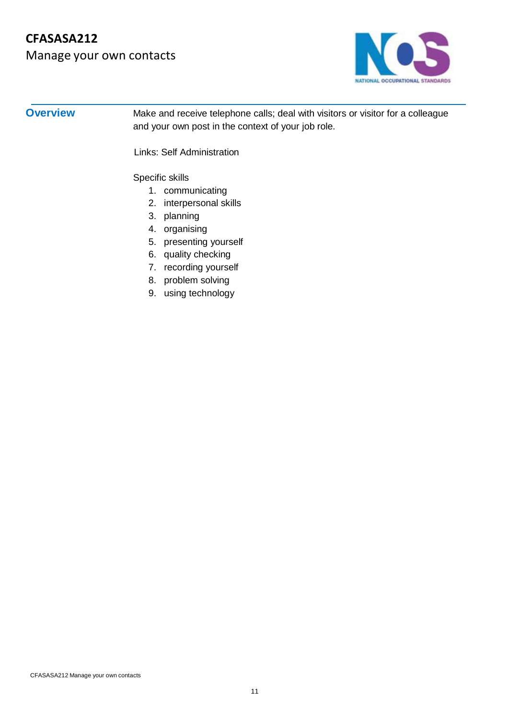# Manage your own contacts



**Overview** Make and receive telephone calls; deal with visitors or visitor for a colleague and your own post in the context of your job role.

Links: Self Administration

Specific skills

- 1. communicating
- 2. interpersonal skills
- 3. planning
- 4. organising
- 5. presenting yourself
- 6. quality checking
- 7. recording yourself
- 8. problem solving
- 9. using technology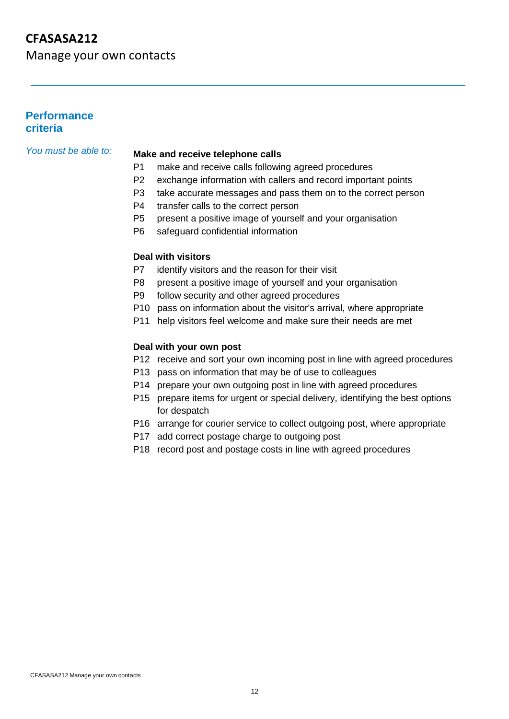Manage your own contacts

#### **Performance criteria**

## *You must be able to:* **Make and receive telephone calls**

- P1 make and receive calls following agreed procedures
- P2 exchange information with callers and record important points
- P3 take accurate messages and pass them on to the correct person
- P4 transfer calls to the correct person
- P5 present a positive image of yourself and your organisation
- P6 safeguard confidential information

#### **Deal with visitors**

- P7 identify visitors and the reason for their visit
- P8 present a positive image of yourself and your organisation
- P9 follow security and other agreed procedures
- P10 pass on information about the visitor's arrival, where appropriate
- P11 help visitors feel welcome and make sure their needs are met

#### **Deal with your own post**

- P12 receive and sort your own incoming post in line with agreed procedures
- P13 pass on information that may be of use to colleagues
- P14 prepare your own outgoing post in line with agreed procedures
- P15 prepare items for urgent or special delivery, identifying the best options for despatch
- P16 arrange for courier service to collect outgoing post, where appropriate
- P17 add correct postage charge to outgoing post
- P18 record post and postage costs in line with agreed procedures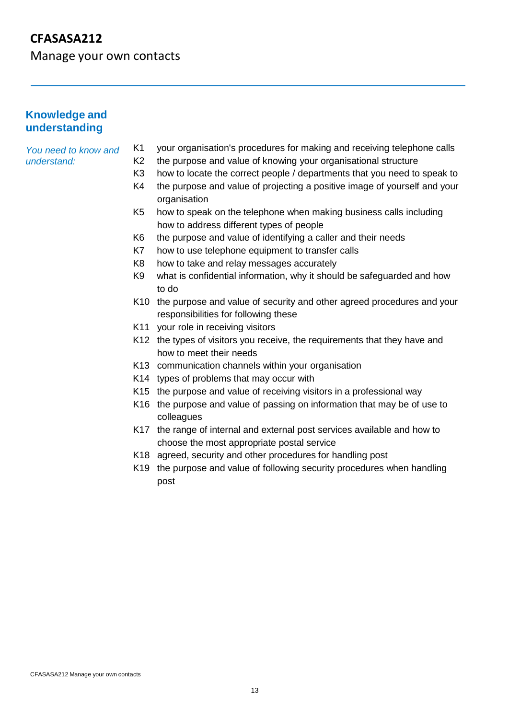Manage your own contacts

#### **Knowledge and understanding**

#### *You need to know and understand:*

- K1 your organisation's procedures for making and receiving telephone calls
- K2 the purpose and value of knowing your organisational structure
- K3 how to locate the correct people / departments that you need to speak to
- K4 the purpose and value of projecting a positive image of yourself and your organisation
- K5 how to speak on the telephone when making business calls including how to address different types of people
- K6 the purpose and value of identifying a caller and their needs
- K7 how to use telephone equipment to transfer calls
- K8 how to take and relay messages accurately
- K9 what is confidential information, why it should be safeguarded and how to do
- K10 the purpose and value of security and other agreed procedures and your responsibilities for following these
- K11 your role in receiving visitors
- K12 the types of visitors you receive, the requirements that they have and how to meet their needs
- K13 communication channels within your organisation
- K14 types of problems that may occur with
- K15 the purpose and value of receiving visitors in a professional way
- K16 the purpose and value of passing on information that may be of use to colleagues
- K17 the range of internal and external post services available and how to choose the most appropriate postal service
- K18 agreed, security and other procedures for handling post
- K19 the purpose and value of following security procedures when handling post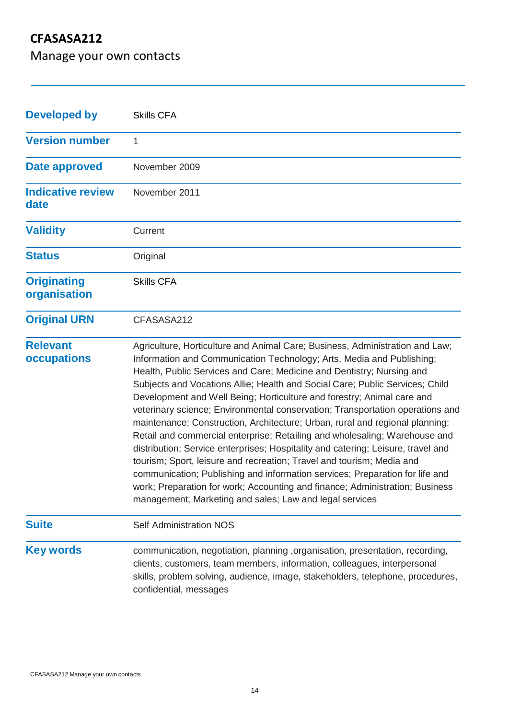Manage your own contacts

| <b>Developed by</b>                | <b>Skills CFA</b>                                                                                                                                                                                                                                                                                                                                                                                                                                                                                                                                                                                                                                                                                                                                                                                                                                                                                                                                                                                                               |
|------------------------------------|---------------------------------------------------------------------------------------------------------------------------------------------------------------------------------------------------------------------------------------------------------------------------------------------------------------------------------------------------------------------------------------------------------------------------------------------------------------------------------------------------------------------------------------------------------------------------------------------------------------------------------------------------------------------------------------------------------------------------------------------------------------------------------------------------------------------------------------------------------------------------------------------------------------------------------------------------------------------------------------------------------------------------------|
| <b>Version number</b>              | 1                                                                                                                                                                                                                                                                                                                                                                                                                                                                                                                                                                                                                                                                                                                                                                                                                                                                                                                                                                                                                               |
| Date approved                      | November 2009                                                                                                                                                                                                                                                                                                                                                                                                                                                                                                                                                                                                                                                                                                                                                                                                                                                                                                                                                                                                                   |
| <b>Indicative review</b><br>date   | November 2011                                                                                                                                                                                                                                                                                                                                                                                                                                                                                                                                                                                                                                                                                                                                                                                                                                                                                                                                                                                                                   |
| <b>Validity</b>                    | Current                                                                                                                                                                                                                                                                                                                                                                                                                                                                                                                                                                                                                                                                                                                                                                                                                                                                                                                                                                                                                         |
| <b>Status</b>                      | Original                                                                                                                                                                                                                                                                                                                                                                                                                                                                                                                                                                                                                                                                                                                                                                                                                                                                                                                                                                                                                        |
| <b>Originating</b><br>organisation | <b>Skills CFA</b>                                                                                                                                                                                                                                                                                                                                                                                                                                                                                                                                                                                                                                                                                                                                                                                                                                                                                                                                                                                                               |
| <b>Original URN</b>                | CFASASA212                                                                                                                                                                                                                                                                                                                                                                                                                                                                                                                                                                                                                                                                                                                                                                                                                                                                                                                                                                                                                      |
| <b>Relevant</b><br>occupations     | Agriculture, Horticulture and Animal Care; Business, Administration and Law;<br>Information and Communication Technology; Arts, Media and Publishing;<br>Health, Public Services and Care; Medicine and Dentistry; Nursing and<br>Subjects and Vocations Allie; Health and Social Care; Public Services; Child<br>Development and Well Being; Horticulture and forestry; Animal care and<br>veterinary science; Environmental conservation; Transportation operations and<br>maintenance; Construction, Architecture; Urban, rural and regional planning;<br>Retail and commercial enterprise; Retailing and wholesaling; Warehouse and<br>distribution; Service enterprises; Hospitality and catering; Leisure, travel and<br>tourism; Sport, leisure and recreation; Travel and tourism; Media and<br>communication; Publishing and information services; Preparation for life and<br>work; Preparation for work; Accounting and finance; Administration; Business<br>management; Marketing and sales; Law and legal services |
| <b>Suite</b>                       | <b>Self Administration NOS</b>                                                                                                                                                                                                                                                                                                                                                                                                                                                                                                                                                                                                                                                                                                                                                                                                                                                                                                                                                                                                  |
| <b>Key words</b>                   | communication, negotiation, planning , organisation, presentation, recording,<br>clients, customers, team members, information, colleagues, interpersonal<br>skills, problem solving, audience, image, stakeholders, telephone, procedures,<br>confidential, messages                                                                                                                                                                                                                                                                                                                                                                                                                                                                                                                                                                                                                                                                                                                                                           |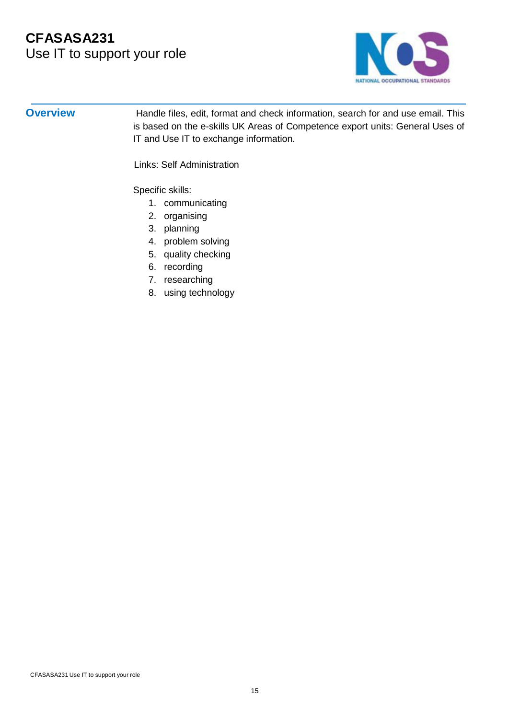# **CFASASA231** Use IT to support your role



**Overview** Handle files, edit, format and check information, search for and use email. This is based on the e-skills UK Areas of Competence export units: General Uses of IT and Use IT to exchange information.

Links: Self Administration

Specific skills:

- 1. communicating
- 2. organising
- 3. planning
- 4. problem solving
- 5. quality checking
- 6. recording
- 7. researching
- 8. using technology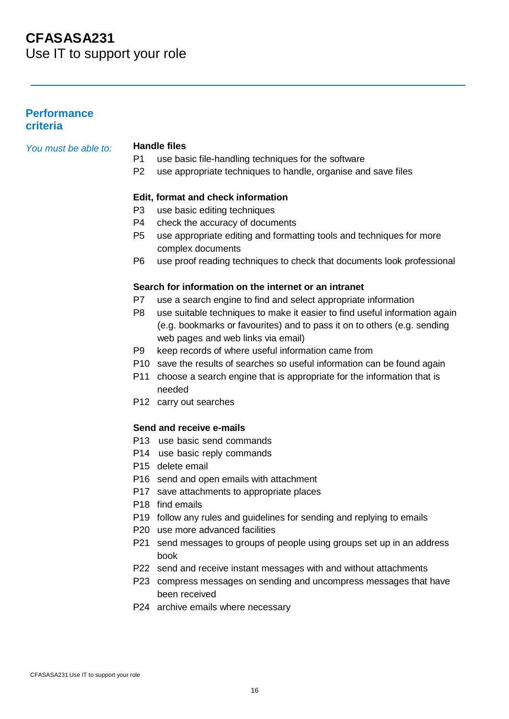# **CFASASA231** Use IT to support your role

#### **Performance criteria**

*You must be able to:* **Handle files**

- use basic file-handling techniques for the software
- P2 use appropriate techniques to handle, organise and save files

#### **Edit, format and check information**

- P3 use basic editing techniques
- P4 check the accuracy of documents
- P5 use appropriate editing and formatting tools and techniques for more complex documents
- P6 use proof reading techniques to check that documents look professional

#### **Search for information on the internet or an intranet**

- P7 use a search engine to find and select appropriate information
- P8 use suitable techniques to make it easier to find useful information again (e.g. bookmarks or favourites) and to pass it on to others (e.g. sending web pages and web links via email)
- P9 keep records of where useful information came from
- P10 save the results of searches so useful information can be found again
- P11 choose a search engine that is appropriate for the information that is needed
- P12 carry out searches

#### **Send and receive e-mails**

- P13 use basic send commands
- P14 use basic reply commands
- P15 delete email
- P16 send and open emails with attachment
- P17 save attachments to appropriate places
- P18 find emails
- P19 follow any rules and guidelines for sending and replying to emails
- P20 use more advanced facilities
- P21 send messages to groups of people using groups set up in an address book
- P22 send and receive instant messages with and without attachments
- P23 compress messages on sending and uncompress messages that have been received
- P24 archive emails where necessary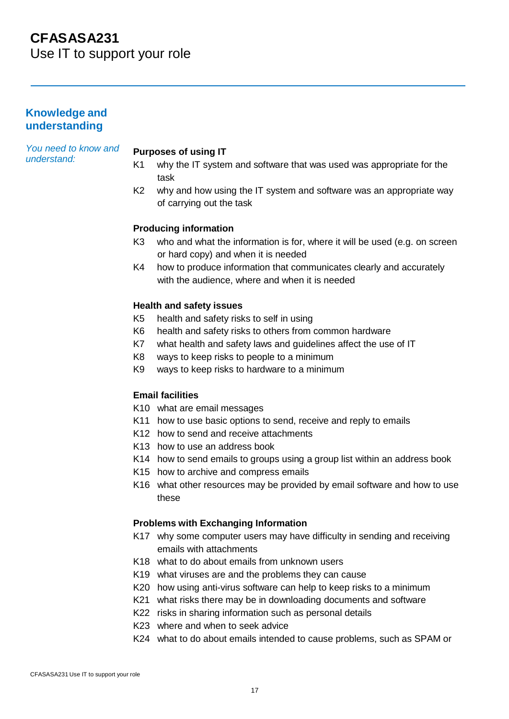Use IT to support your role

### **Knowledge and understanding**

#### *You need to know and understand:*

#### **Purposes of using IT**

- K1 why the IT system and software that was used was appropriate for the task
- K2 why and how using the IT system and software was an appropriate way of carrying out the task

#### **Producing information**

- K3 who and what the information is for, where it will be used (e.g. on screen or hard copy) and when it is needed
- K4 how to produce information that communicates clearly and accurately with the audience, where and when it is needed

#### **Health and safety issues**

- K5 health and safety risks to self in using
- K6 health and safety risks to others from common hardware
- K7 what health and safety laws and guidelines affect the use of IT
- K8 ways to keep risks to people to a minimum
- K9 ways to keep risks to hardware to a minimum

#### **Email facilities**

- K10 what are email messages
- K11 how to use basic options to send, receive and reply to emails
- K12 how to send and receive attachments
- K13 how to use an address book
- K14 how to send emails to groups using a group list within an address book
- K15 how to archive and compress emails
- K16 what other resources may be provided by email software and how to use these

#### **Problems with Exchanging Information**

- K17 why some computer users may have difficulty in sending and receiving emails with attachments
- K18 what to do about emails from unknown users
- K19 what viruses are and the problems they can cause
- K20 how using anti-virus software can help to keep risks to a minimum
- K21 what risks there may be in downloading documents and software
- K22 risks in sharing information such as personal details
- K23 where and when to seek advice
- K24 what to do about emails intended to cause problems, such as SPAM or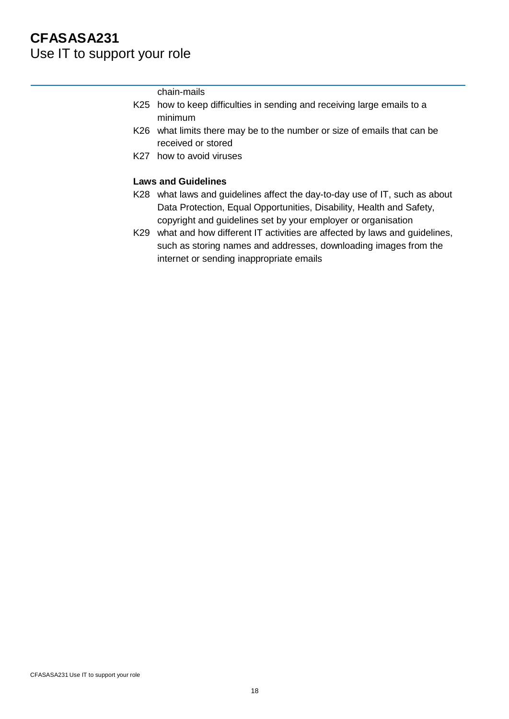# **CFASASA231** Use IT to support your role

chain-mails

- K25 how to keep difficulties in sending and receiving large emails to a minimum
- K26 what limits there may be to the number or size of emails that can be received or stored
- K27 how to avoid viruses

#### **Laws and Guidelines**

- K28 what laws and guidelines affect the day-to-day use of IT, such as about Data Protection, Equal Opportunities, Disability, Health and Safety, copyright and guidelines set by your employer or organisation
- K29 what and how different IT activities are affected by laws and guidelines, such as storing names and addresses, downloading images from the internet or sending inappropriate emails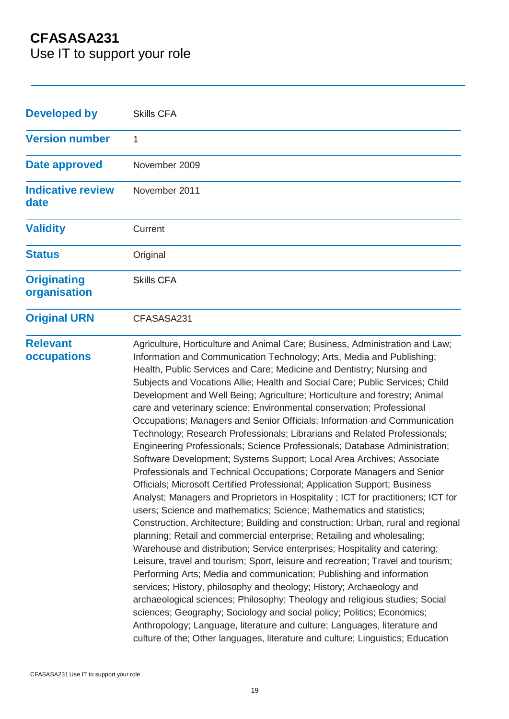Use IT to support your role

| <b>Developed by</b>                | <b>Skills CFA</b>                                                                                                                                                                                                                                                                                                                                                                                                                                                                                                                                                                                                                                                                                                                                                                                                                                                                                                                                                                                                                                                                                                                                                                                                                                                                                                                                                                                                                                                                                                                                                                                                                                                                                                                                                                                                                                                                                                   |
|------------------------------------|---------------------------------------------------------------------------------------------------------------------------------------------------------------------------------------------------------------------------------------------------------------------------------------------------------------------------------------------------------------------------------------------------------------------------------------------------------------------------------------------------------------------------------------------------------------------------------------------------------------------------------------------------------------------------------------------------------------------------------------------------------------------------------------------------------------------------------------------------------------------------------------------------------------------------------------------------------------------------------------------------------------------------------------------------------------------------------------------------------------------------------------------------------------------------------------------------------------------------------------------------------------------------------------------------------------------------------------------------------------------------------------------------------------------------------------------------------------------------------------------------------------------------------------------------------------------------------------------------------------------------------------------------------------------------------------------------------------------------------------------------------------------------------------------------------------------------------------------------------------------------------------------------------------------|
| <b>Version number</b>              | 1                                                                                                                                                                                                                                                                                                                                                                                                                                                                                                                                                                                                                                                                                                                                                                                                                                                                                                                                                                                                                                                                                                                                                                                                                                                                                                                                                                                                                                                                                                                                                                                                                                                                                                                                                                                                                                                                                                                   |
| Date approved                      | November 2009                                                                                                                                                                                                                                                                                                                                                                                                                                                                                                                                                                                                                                                                                                                                                                                                                                                                                                                                                                                                                                                                                                                                                                                                                                                                                                                                                                                                                                                                                                                                                                                                                                                                                                                                                                                                                                                                                                       |
| <b>Indicative review</b><br>date   | November 2011                                                                                                                                                                                                                                                                                                                                                                                                                                                                                                                                                                                                                                                                                                                                                                                                                                                                                                                                                                                                                                                                                                                                                                                                                                                                                                                                                                                                                                                                                                                                                                                                                                                                                                                                                                                                                                                                                                       |
| <b>Validity</b>                    | Current                                                                                                                                                                                                                                                                                                                                                                                                                                                                                                                                                                                                                                                                                                                                                                                                                                                                                                                                                                                                                                                                                                                                                                                                                                                                                                                                                                                                                                                                                                                                                                                                                                                                                                                                                                                                                                                                                                             |
| <b>Status</b>                      | Original                                                                                                                                                                                                                                                                                                                                                                                                                                                                                                                                                                                                                                                                                                                                                                                                                                                                                                                                                                                                                                                                                                                                                                                                                                                                                                                                                                                                                                                                                                                                                                                                                                                                                                                                                                                                                                                                                                            |
| <b>Originating</b><br>organisation | <b>Skills CFA</b>                                                                                                                                                                                                                                                                                                                                                                                                                                                                                                                                                                                                                                                                                                                                                                                                                                                                                                                                                                                                                                                                                                                                                                                                                                                                                                                                                                                                                                                                                                                                                                                                                                                                                                                                                                                                                                                                                                   |
| <b>Original URN</b>                | CFASASA231                                                                                                                                                                                                                                                                                                                                                                                                                                                                                                                                                                                                                                                                                                                                                                                                                                                                                                                                                                                                                                                                                                                                                                                                                                                                                                                                                                                                                                                                                                                                                                                                                                                                                                                                                                                                                                                                                                          |
| <b>Relevant</b><br>occupations     | Agriculture, Horticulture and Animal Care; Business, Administration and Law;<br>Information and Communication Technology; Arts, Media and Publishing;<br>Health, Public Services and Care; Medicine and Dentistry; Nursing and<br>Subjects and Vocations Allie; Health and Social Care; Public Services; Child<br>Development and Well Being; Agriculture; Horticulture and forestry; Animal<br>care and veterinary science; Environmental conservation; Professional<br>Occupations; Managers and Senior Officials; Information and Communication<br>Technology; Research Professionals; Librarians and Related Professionals;<br>Engineering Professionals; Science Professionals; Database Administration;<br>Software Development; Systems Support; Local Area Archives; Associate<br>Professionals and Technical Occupations; Corporate Managers and Senior<br>Officials; Microsoft Certified Professional; Application Support; Business<br>Analyst; Managers and Proprietors in Hospitality ; ICT for practitioners; ICT for<br>users; Science and mathematics; Science; Mathematics and statistics;<br>Construction, Architecture; Building and construction; Urban, rural and regional<br>planning; Retail and commercial enterprise; Retailing and wholesaling;<br>Warehouse and distribution; Service enterprises; Hospitality and catering;<br>Leisure, travel and tourism; Sport, leisure and recreation; Travel and tourism;<br>Performing Arts; Media and communication; Publishing and information<br>services; History, philosophy and theology; History; Archaeology and<br>archaeological sciences; Philosophy; Theology and religious studies; Social<br>sciences; Geography; Sociology and social policy; Politics; Economics;<br>Anthropology; Language, literature and culture; Languages, literature and<br>culture of the; Other languages, literature and culture; Linguistics; Education |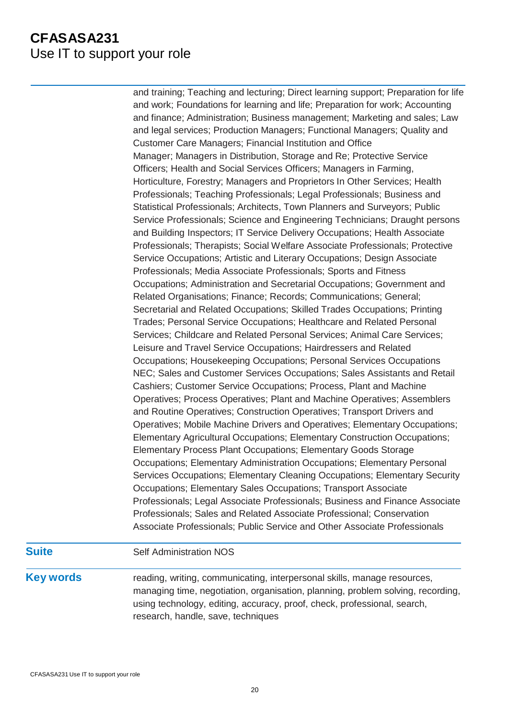# **CFASASA231** Use IT to support your role

and training; Teaching and lecturing; Direct learning support; Preparation for life and work; Foundations for learning and life; Preparation for work; Accounting and finance; Administration; Business management; Marketing and sales; Law and legal services; Production Managers; Functional Managers; Quality and Customer Care Managers; Financial Institution and Office Manager; Managers in Distribution, Storage and Re; Protective Service Officers; Health and Social Services Officers; Managers in Farming, Horticulture, Forestry; Managers and Proprietors In Other Services; Health Professionals; Teaching Professionals; Legal Professionals; Business and Statistical Professionals; Architects, Town Planners and Surveyors; Public Service Professionals; Science and Engineering Technicians; Draught persons and Building Inspectors; IT Service Delivery Occupations; Health Associate Professionals; Therapists; Social Welfare Associate Professionals; Protective Service Occupations; Artistic and Literary Occupations; Design Associate Professionals; Media Associate Professionals; Sports and Fitness Occupations; Administration and Secretarial Occupations; Government and Related Organisations; Finance; Records; Communications; General; Secretarial and Related Occupations; Skilled Trades Occupations; Printing Trades; Personal Service Occupations; Healthcare and Related Personal Services; Childcare and Related Personal Services; Animal Care Services; Leisure and Travel Service Occupations; Hairdressers and Related Occupations; Housekeeping Occupations; Personal Services Occupations NEC; Sales and Customer Services Occupations; Sales Assistants and Retail Cashiers; Customer Service Occupations; Process, Plant and Machine Operatives; Process Operatives; Plant and Machine Operatives; Assemblers and Routine Operatives; Construction Operatives; Transport Drivers and Operatives; Mobile Machine Drivers and Operatives; Elementary Occupations; Elementary Agricultural Occupations; Elementary Construction Occupations; Elementary Process Plant Occupations; Elementary Goods Storage Occupations; Elementary Administration Occupations; Elementary Personal Services Occupations; Elementary Cleaning Occupations; Elementary Security Occupations; Elementary Sales Occupations; Transport Associate Professionals; Legal Associate Professionals; Business and Finance Associate Professionals; Sales and Related Associate Professional; Conservation Associate Professionals; Public Service and Other Associate Professionals

### **Suite** Self Administration NOS

**Key words** reading, writing, communicating, interpersonal skills, manage resources, managing time, negotiation, organisation, planning, problem solving, recording, using technology, editing, accuracy, proof, check, professional, search, research, handle, save, techniques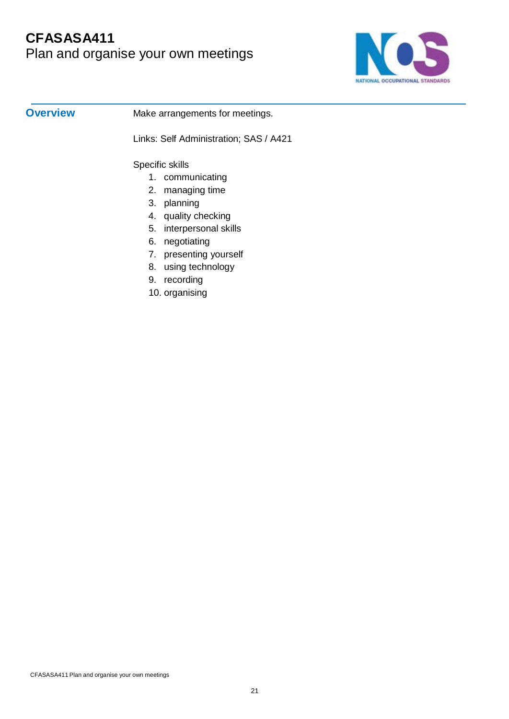# **CFASASA411** Plan and organise your own meetings



**Overview** Make arrangements for meetings.

Links: Self Administration; SAS / A421

Specific skills

- 1. communicating
- 2. managing time
- 3. planning
- 4. quality checking
- 5. interpersonal skills
- 6. negotiating
- 7. presenting yourself
- 8. using technology
- 9. recording
- 10. organising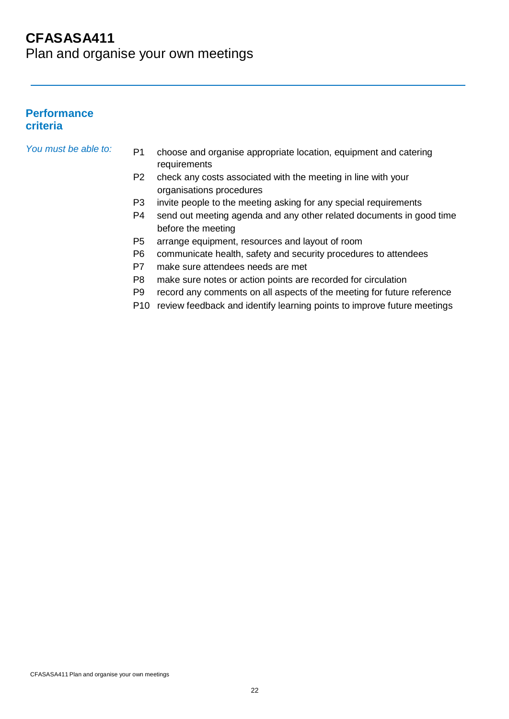# **CFASASA411** Plan and organise your own meetings

### **Performance criteria**

- *You must be able to:* P1 choose and organise appropriate location, equipment and catering requirements
	- P2 check any costs associated with the meeting in line with your organisations procedures
	- P3 invite people to the meeting asking for any special requirements
	- P4 send out meeting agenda and any other related documents in good time before the meeting
	- P5 arrange equipment, resources and layout of room
	- P6 communicate health, safety and security procedures to attendees
	- P7 make sure attendees needs are met
	- P8 make sure notes or action points are recorded for circulation
	- P9 record any comments on all aspects of the meeting for future reference
	- P10 review feedback and identify learning points to improve future meetings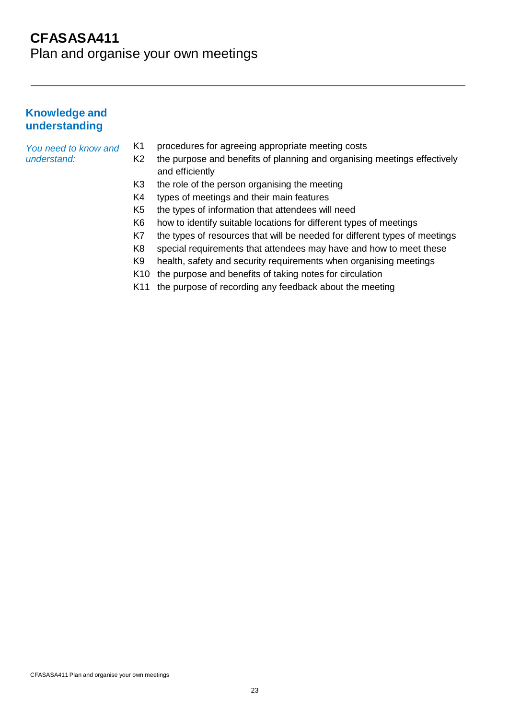Plan and organise your own meetings

### **Knowledge and understanding**

#### *You need to know and understand:*

- K1 procedures for agreeing appropriate meeting costs
- K2 the purpose and benefits of planning and organising meetings effectively and efficiently
- K3 the role of the person organising the meeting
- K4 types of meetings and their main features
- K5 the types of information that attendees will need
- K6 how to identify suitable locations for different types of meetings
- K7 the types of resources that will be needed for different types of meetings
- K8 special requirements that attendees may have and how to meet these
- K9 health, safety and security requirements when organising meetings
- K10 the purpose and benefits of taking notes for circulation
- K11 the purpose of recording any feedback about the meeting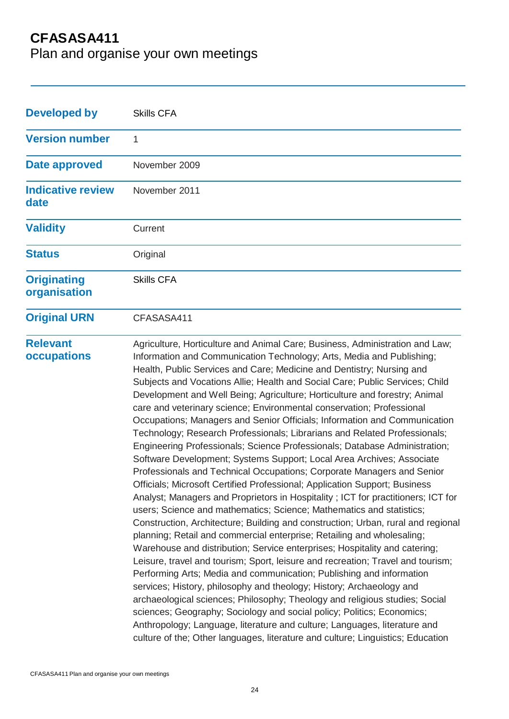Plan and organise your own meetings

| <b>Developed by</b>                | <b>Skills CFA</b>                                                                                                                                                                                                                                                                                                                                                                                                                                                                                                                                                                                                                                                                                                                                                                                                                                                                                                                                                                                                                                                                                                                                                                                                                                                                                                                                                                                                                                                                                                                                                                                                                                                                                                                                                                                                                                                                                                  |
|------------------------------------|--------------------------------------------------------------------------------------------------------------------------------------------------------------------------------------------------------------------------------------------------------------------------------------------------------------------------------------------------------------------------------------------------------------------------------------------------------------------------------------------------------------------------------------------------------------------------------------------------------------------------------------------------------------------------------------------------------------------------------------------------------------------------------------------------------------------------------------------------------------------------------------------------------------------------------------------------------------------------------------------------------------------------------------------------------------------------------------------------------------------------------------------------------------------------------------------------------------------------------------------------------------------------------------------------------------------------------------------------------------------------------------------------------------------------------------------------------------------------------------------------------------------------------------------------------------------------------------------------------------------------------------------------------------------------------------------------------------------------------------------------------------------------------------------------------------------------------------------------------------------------------------------------------------------|
| <b>Version number</b>              | 1                                                                                                                                                                                                                                                                                                                                                                                                                                                                                                                                                                                                                                                                                                                                                                                                                                                                                                                                                                                                                                                                                                                                                                                                                                                                                                                                                                                                                                                                                                                                                                                                                                                                                                                                                                                                                                                                                                                  |
| <b>Date approved</b>               | November 2009                                                                                                                                                                                                                                                                                                                                                                                                                                                                                                                                                                                                                                                                                                                                                                                                                                                                                                                                                                                                                                                                                                                                                                                                                                                                                                                                                                                                                                                                                                                                                                                                                                                                                                                                                                                                                                                                                                      |
| <b>Indicative review</b><br>date   | November 2011                                                                                                                                                                                                                                                                                                                                                                                                                                                                                                                                                                                                                                                                                                                                                                                                                                                                                                                                                                                                                                                                                                                                                                                                                                                                                                                                                                                                                                                                                                                                                                                                                                                                                                                                                                                                                                                                                                      |
| <b>Validity</b>                    | Current                                                                                                                                                                                                                                                                                                                                                                                                                                                                                                                                                                                                                                                                                                                                                                                                                                                                                                                                                                                                                                                                                                                                                                                                                                                                                                                                                                                                                                                                                                                                                                                                                                                                                                                                                                                                                                                                                                            |
| <b>Status</b>                      | Original                                                                                                                                                                                                                                                                                                                                                                                                                                                                                                                                                                                                                                                                                                                                                                                                                                                                                                                                                                                                                                                                                                                                                                                                                                                                                                                                                                                                                                                                                                                                                                                                                                                                                                                                                                                                                                                                                                           |
| <b>Originating</b><br>organisation | <b>Skills CFA</b>                                                                                                                                                                                                                                                                                                                                                                                                                                                                                                                                                                                                                                                                                                                                                                                                                                                                                                                                                                                                                                                                                                                                                                                                                                                                                                                                                                                                                                                                                                                                                                                                                                                                                                                                                                                                                                                                                                  |
| <b>Original URN</b>                | CFASASA411                                                                                                                                                                                                                                                                                                                                                                                                                                                                                                                                                                                                                                                                                                                                                                                                                                                                                                                                                                                                                                                                                                                                                                                                                                                                                                                                                                                                                                                                                                                                                                                                                                                                                                                                                                                                                                                                                                         |
| <b>Relevant</b><br>occupations     | Agriculture, Horticulture and Animal Care; Business, Administration and Law;<br>Information and Communication Technology; Arts, Media and Publishing;<br>Health, Public Services and Care; Medicine and Dentistry; Nursing and<br>Subjects and Vocations Allie; Health and Social Care; Public Services; Child<br>Development and Well Being; Agriculture; Horticulture and forestry; Animal<br>care and veterinary science; Environmental conservation; Professional<br>Occupations; Managers and Senior Officials; Information and Communication<br>Technology; Research Professionals; Librarians and Related Professionals;<br>Engineering Professionals; Science Professionals; Database Administration;<br>Software Development; Systems Support; Local Area Archives; Associate<br>Professionals and Technical Occupations; Corporate Managers and Senior<br>Officials; Microsoft Certified Professional; Application Support; Business<br>Analyst; Managers and Proprietors in Hospitality; ICT for practitioners; ICT for<br>users; Science and mathematics; Science; Mathematics and statistics;<br>Construction, Architecture; Building and construction; Urban, rural and regional<br>planning; Retail and commercial enterprise; Retailing and wholesaling;<br>Warehouse and distribution; Service enterprises; Hospitality and catering;<br>Leisure, travel and tourism; Sport, leisure and recreation; Travel and tourism;<br>Performing Arts; Media and communication; Publishing and information<br>services; History, philosophy and theology; History; Archaeology and<br>archaeological sciences; Philosophy; Theology and religious studies; Social<br>sciences; Geography; Sociology and social policy; Politics; Economics;<br>Anthropology; Language, literature and culture; Languages, literature and<br>culture of the; Other languages, literature and culture; Linguistics; Education |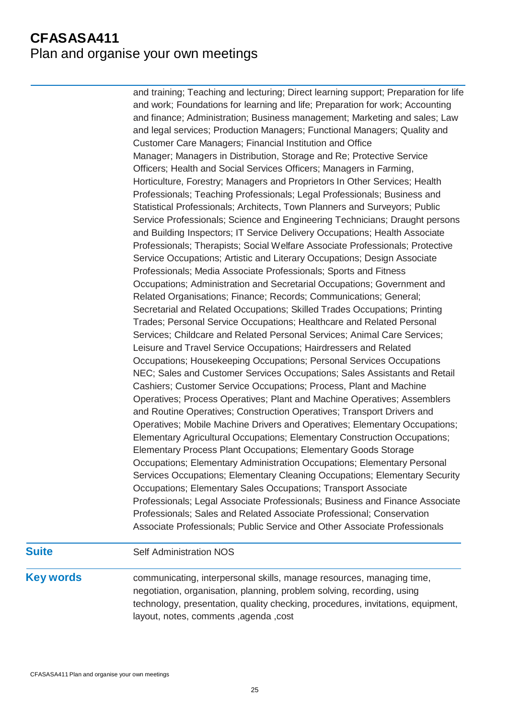# **CFASASA411** Plan and organise your own meetings

and training; Teaching and lecturing; Direct learning support; Preparation for life and work; Foundations for learning and life; Preparation for work; Accounting and finance; Administration; Business management; Marketing and sales; Law and legal services; Production Managers; Functional Managers; Quality and Customer Care Managers; Financial Institution and Office Manager; Managers in Distribution, Storage and Re; Protective Service Officers; Health and Social Services Officers; Managers in Farming, Horticulture, Forestry; Managers and Proprietors In Other Services; Health Professionals; Teaching Professionals; Legal Professionals; Business and Statistical Professionals; Architects, Town Planners and Surveyors; Public Service Professionals; Science and Engineering Technicians; Draught persons and Building Inspectors; IT Service Delivery Occupations; Health Associate Professionals; Therapists; Social Welfare Associate Professionals; Protective Service Occupations; Artistic and Literary Occupations; Design Associate Professionals; Media Associate Professionals; Sports and Fitness Occupations; Administration and Secretarial Occupations; Government and Related Organisations; Finance; Records; Communications; General; Secretarial and Related Occupations; Skilled Trades Occupations; Printing Trades; Personal Service Occupations; Healthcare and Related Personal Services; Childcare and Related Personal Services; Animal Care Services; Leisure and Travel Service Occupations; Hairdressers and Related Occupations; Housekeeping Occupations; Personal Services Occupations NEC; Sales and Customer Services Occupations; Sales Assistants and Retail Cashiers; Customer Service Occupations; Process, Plant and Machine Operatives; Process Operatives; Plant and Machine Operatives; Assemblers and Routine Operatives; Construction Operatives; Transport Drivers and Operatives; Mobile Machine Drivers and Operatives; Elementary Occupations; Elementary Agricultural Occupations; Elementary Construction Occupations; Elementary Process Plant Occupations; Elementary Goods Storage Occupations; Elementary Administration Occupations; Elementary Personal Services Occupations; Elementary Cleaning Occupations; Elementary Security Occupations; Elementary Sales Occupations; Transport Associate Professionals; Legal Associate Professionals; Business and Finance Associate Professionals; Sales and Related Associate Professional; Conservation Associate Professionals; Public Service and Other Associate Professionals

### **Suite** Self Administration NOS

**Key words** communicating, interpersonal skills, manage resources, managing time, negotiation, organisation, planning, problem solving, recording, using technology, presentation, quality checking, procedures, invitations, equipment, layout, notes, comments ,agenda ,cost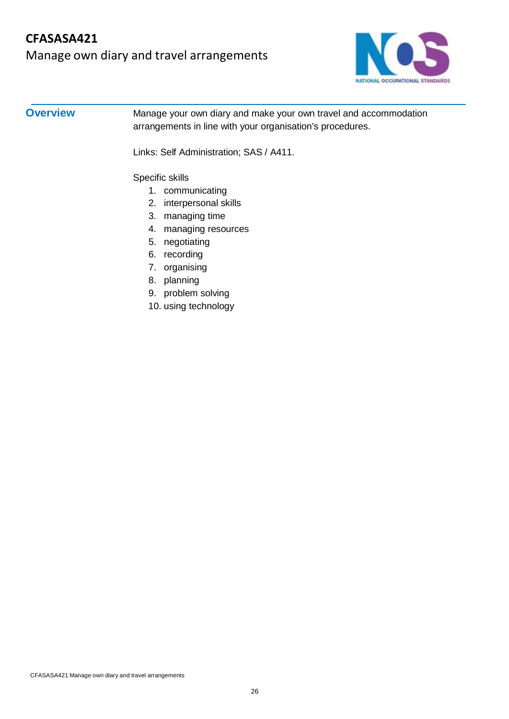

**Overview** Manage your own diary and make your own travel and accommodation arrangements in line with your organisation's procedures.

Links: Self Administration; SAS / A411.

Specific skills

- 1. communicating
- 2. interpersonal skills
- 3. managing time
- 4. managing resources
- 5. negotiating
- 6. recording
- 7. organising
- 8. planning
- 9. problem solving
- 10. using technology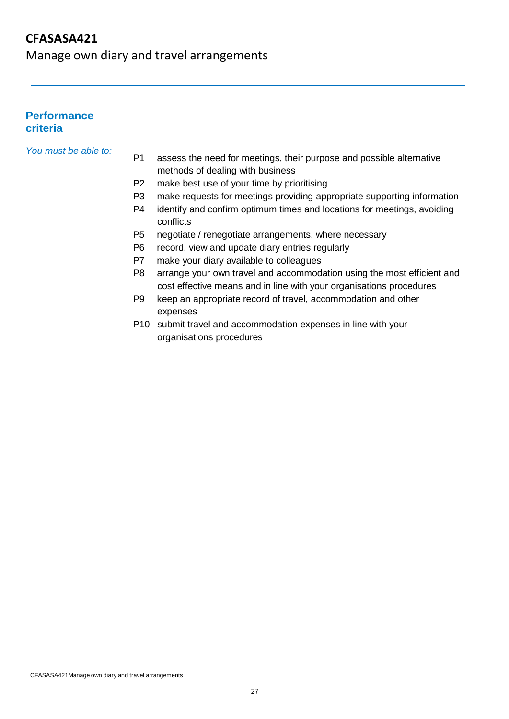Manage own diary and travel arrangements

### **Performance criteria**

*You must be able to:*

- P1 assess the need for meetings, their purpose and possible alternative methods of dealing with business
- P2 make best use of your time by prioritising
- P3 make requests for meetings providing appropriate supporting information
- P4 identify and confirm optimum times and locations for meetings, avoiding conflicts
- P5 negotiate / renegotiate arrangements, where necessary
- P6 record, view and update diary entries regularly
- P7 make your diary available to colleagues
- P8 arrange your own travel and accommodation using the most efficient and cost effective means and in line with your organisations procedures
- P9 keep an appropriate record of travel, accommodation and other expenses
- P10 submit travel and accommodation expenses in line with your organisations procedures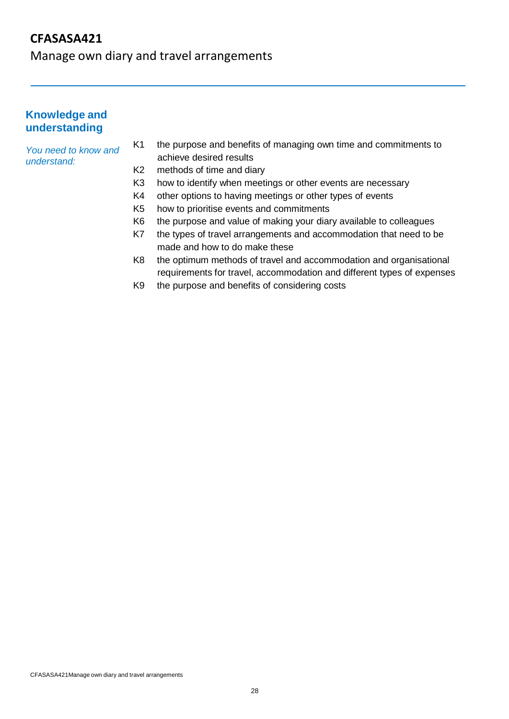Manage own diary and travel arrangements

### **Knowledge and understanding**

*You need to know and understand:*

- K1 the purpose and benefits of managing own time and commitments to achieve desired results
- K2 methods of time and diary
- K3 how to identify when meetings or other events are necessary
- K4 other options to having meetings or other types of events
- K5 how to prioritise events and commitments
- K6 the purpose and value of making your diary available to colleagues
- K7 the types of travel arrangements and accommodation that need to be made and how to do make these
- K8 the optimum methods of travel and accommodation and organisational requirements for travel, accommodation and different types of expenses
- K9 the purpose and benefits of considering costs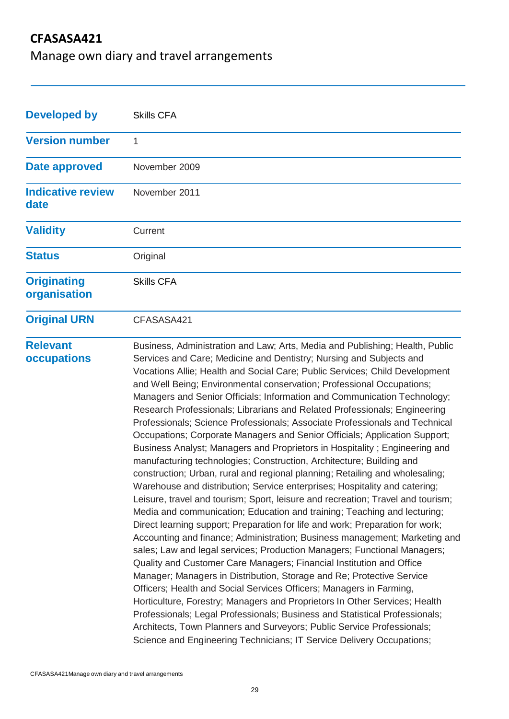Manage own diary and travel arrangements

| <b>Developed by</b>                | <b>Skills CFA</b>                                                                                                                                                                                                                                                                                                                                                                                                                                                                                                                                                                                                                                                                                                                                                                                                                                                                                                                                                                                                                                                                                                                                                                                                                                                                                                                                                                                                                                                                                                                                                                                                                                                                                                                                                                                                                                                                                       |
|------------------------------------|---------------------------------------------------------------------------------------------------------------------------------------------------------------------------------------------------------------------------------------------------------------------------------------------------------------------------------------------------------------------------------------------------------------------------------------------------------------------------------------------------------------------------------------------------------------------------------------------------------------------------------------------------------------------------------------------------------------------------------------------------------------------------------------------------------------------------------------------------------------------------------------------------------------------------------------------------------------------------------------------------------------------------------------------------------------------------------------------------------------------------------------------------------------------------------------------------------------------------------------------------------------------------------------------------------------------------------------------------------------------------------------------------------------------------------------------------------------------------------------------------------------------------------------------------------------------------------------------------------------------------------------------------------------------------------------------------------------------------------------------------------------------------------------------------------------------------------------------------------------------------------------------------------|
| <b>Version number</b>              | 1                                                                                                                                                                                                                                                                                                                                                                                                                                                                                                                                                                                                                                                                                                                                                                                                                                                                                                                                                                                                                                                                                                                                                                                                                                                                                                                                                                                                                                                                                                                                                                                                                                                                                                                                                                                                                                                                                                       |
| <b>Date approved</b>               | November 2009                                                                                                                                                                                                                                                                                                                                                                                                                                                                                                                                                                                                                                                                                                                                                                                                                                                                                                                                                                                                                                                                                                                                                                                                                                                                                                                                                                                                                                                                                                                                                                                                                                                                                                                                                                                                                                                                                           |
| <b>Indicative review</b><br>date   | November 2011                                                                                                                                                                                                                                                                                                                                                                                                                                                                                                                                                                                                                                                                                                                                                                                                                                                                                                                                                                                                                                                                                                                                                                                                                                                                                                                                                                                                                                                                                                                                                                                                                                                                                                                                                                                                                                                                                           |
| <b>Validity</b>                    | Current                                                                                                                                                                                                                                                                                                                                                                                                                                                                                                                                                                                                                                                                                                                                                                                                                                                                                                                                                                                                                                                                                                                                                                                                                                                                                                                                                                                                                                                                                                                                                                                                                                                                                                                                                                                                                                                                                                 |
| <b>Status</b>                      | Original                                                                                                                                                                                                                                                                                                                                                                                                                                                                                                                                                                                                                                                                                                                                                                                                                                                                                                                                                                                                                                                                                                                                                                                                                                                                                                                                                                                                                                                                                                                                                                                                                                                                                                                                                                                                                                                                                                |
| <b>Originating</b><br>organisation | <b>Skills CFA</b>                                                                                                                                                                                                                                                                                                                                                                                                                                                                                                                                                                                                                                                                                                                                                                                                                                                                                                                                                                                                                                                                                                                                                                                                                                                                                                                                                                                                                                                                                                                                                                                                                                                                                                                                                                                                                                                                                       |
| <b>Original URN</b>                | CFASASA421                                                                                                                                                                                                                                                                                                                                                                                                                                                                                                                                                                                                                                                                                                                                                                                                                                                                                                                                                                                                                                                                                                                                                                                                                                                                                                                                                                                                                                                                                                                                                                                                                                                                                                                                                                                                                                                                                              |
| <b>Relevant</b><br>occupations     | Business, Administration and Law; Arts, Media and Publishing; Health, Public<br>Services and Care; Medicine and Dentistry; Nursing and Subjects and<br>Vocations Allie; Health and Social Care; Public Services; Child Development<br>and Well Being; Environmental conservation; Professional Occupations;<br>Managers and Senior Officials; Information and Communication Technology;<br>Research Professionals; Librarians and Related Professionals; Engineering<br>Professionals; Science Professionals; Associate Professionals and Technical<br>Occupations; Corporate Managers and Senior Officials; Application Support;<br>Business Analyst; Managers and Proprietors in Hospitality; Engineering and<br>manufacturing technologies; Construction, Architecture; Building and<br>construction; Urban, rural and regional planning; Retailing and wholesaling;<br>Warehouse and distribution; Service enterprises; Hospitality and catering;<br>Leisure, travel and tourism; Sport, leisure and recreation; Travel and tourism;<br>Media and communication; Education and training; Teaching and lecturing;<br>Direct learning support; Preparation for life and work; Preparation for work;<br>Accounting and finance; Administration; Business management; Marketing and<br>sales; Law and legal services; Production Managers; Functional Managers;<br>Quality and Customer Care Managers; Financial Institution and Office<br>Manager; Managers in Distribution, Storage and Re; Protective Service<br>Officers; Health and Social Services Officers; Managers in Farming,<br>Horticulture, Forestry; Managers and Proprietors In Other Services; Health<br>Professionals; Legal Professionals; Business and Statistical Professionals;<br>Architects, Town Planners and Surveyors; Public Service Professionals;<br>Science and Engineering Technicians; IT Service Delivery Occupations; |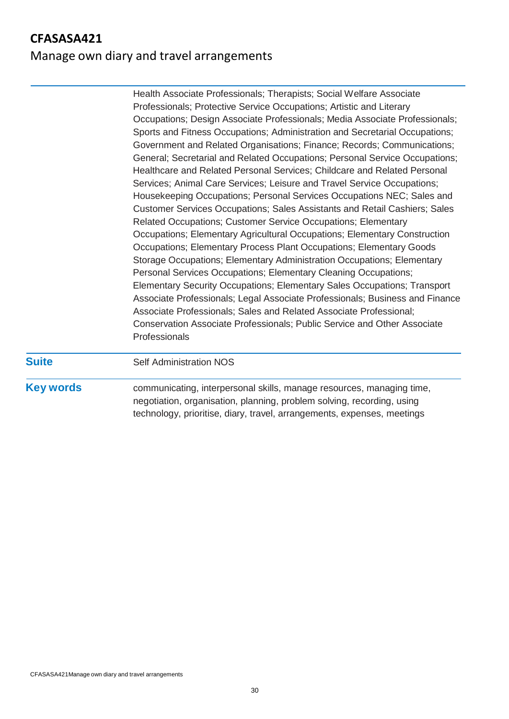# Manage own diary and travel arrangements

| <b>Suite</b> | <b>Self Administration NOS</b>                                                                                                                                                                                                                                                                                                                                                                                                                                                                                                                                                                                                                                                                                                                                                                                                                                                                                                                                                                                                                                                                                                                                                                                                                                                                                                       |
|--------------|--------------------------------------------------------------------------------------------------------------------------------------------------------------------------------------------------------------------------------------------------------------------------------------------------------------------------------------------------------------------------------------------------------------------------------------------------------------------------------------------------------------------------------------------------------------------------------------------------------------------------------------------------------------------------------------------------------------------------------------------------------------------------------------------------------------------------------------------------------------------------------------------------------------------------------------------------------------------------------------------------------------------------------------------------------------------------------------------------------------------------------------------------------------------------------------------------------------------------------------------------------------------------------------------------------------------------------------|
|              | Occupations; Design Associate Professionals; Media Associate Professionals;<br>Sports and Fitness Occupations; Administration and Secretarial Occupations;<br>Government and Related Organisations; Finance; Records; Communications;<br>General; Secretarial and Related Occupations; Personal Service Occupations;<br>Healthcare and Related Personal Services; Childcare and Related Personal<br>Services; Animal Care Services; Leisure and Travel Service Occupations;<br>Housekeeping Occupations; Personal Services Occupations NEC; Sales and<br>Customer Services Occupations; Sales Assistants and Retail Cashiers; Sales<br>Related Occupations; Customer Service Occupations; Elementary<br>Occupations; Elementary Agricultural Occupations; Elementary Construction<br>Occupations; Elementary Process Plant Occupations; Elementary Goods<br>Storage Occupations; Elementary Administration Occupations; Elementary<br>Personal Services Occupations; Elementary Cleaning Occupations;<br>Elementary Security Occupations; Elementary Sales Occupations; Transport<br>Associate Professionals; Legal Associate Professionals; Business and Finance<br>Associate Professionals; Sales and Related Associate Professional;<br>Conservation Associate Professionals; Public Service and Other Associate<br>Professionals |
|              | Health Associate Professionals; Therapists; Social Welfare Associate<br>Professionals; Protective Service Occupations; Artistic and Literary                                                                                                                                                                                                                                                                                                                                                                                                                                                                                                                                                                                                                                                                                                                                                                                                                                                                                                                                                                                                                                                                                                                                                                                         |

**Key words** communicating, interpersonal skills, manage resources, managing time, negotiation, organisation, planning, problem solving, recording, using technology, prioritise, diary, travel, arrangements, expenses, meetings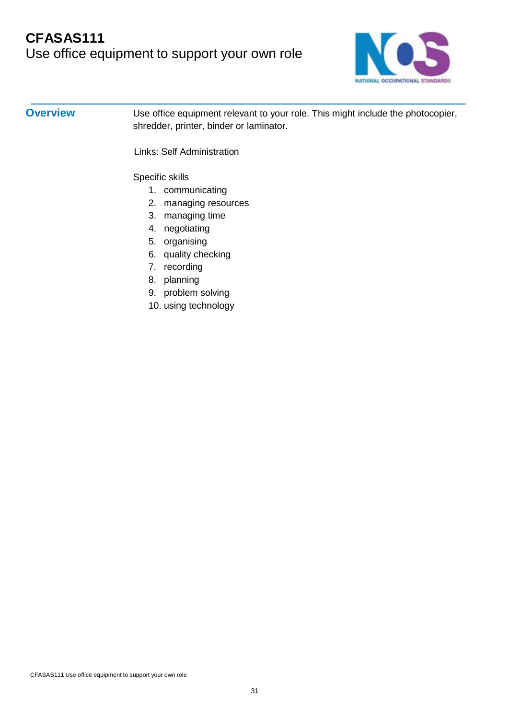

**Overview** Use office equipment relevant to your role. This might include the photocopier, shredder, printer, binder or laminator.

Links: Self Administration

Specific skills

- 1. communicating
- 2. managing resources
- 3. managing time
- 4. negotiating
- 5. organising
- 6. quality checking
- 7. recording
- 8. planning
- 9. problem solving
- 10. using technology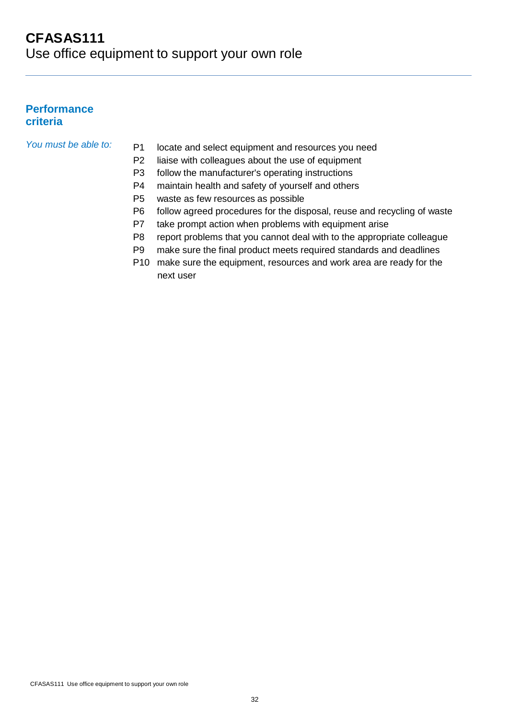#### **Performance criteria**

- *You must be able to:* P1 locate and select equipment and resources you need
	- P2 liaise with colleagues about the use of equipment
	- P3 follow the manufacturer's operating instructions
	- P4 maintain health and safety of yourself and others
	- P5 waste as few resources as possible
	- P6 follow agreed procedures for the disposal, reuse and recycling of waste
	- P7 take prompt action when problems with equipment arise
	- P8 report problems that you cannot deal with to the appropriate colleague
	- P9 make sure the final product meets required standards and deadlines
	- P10 make sure the equipment, resources and work area are ready for the next user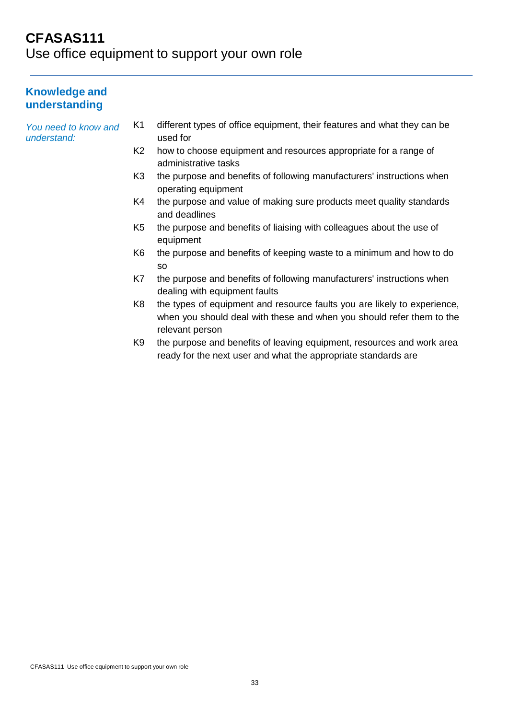# **CFASAS111** Use office equipment to support your own role

### **Knowledge and understanding**

*You need to know and understand:*

- K1 different types of office equipment, their features and what they can be used for
- K2 how to choose equipment and resources appropriate for a range of administrative tasks
- K3 the purpose and benefits of following manufacturers' instructions when operating equipment
- K4 the purpose and value of making sure products meet quality standards and deadlines
- K5 the purpose and benefits of liaising with colleagues about the use of equipment
- K6 the purpose and benefits of keeping waste to a minimum and how to do so
- K7 the purpose and benefits of following manufacturers' instructions when dealing with equipment faults
- K8 the types of equipment and resource faults you are likely to experience, when you should deal with these and when you should refer them to the relevant person
- K9 the purpose and benefits of leaving equipment, resources and work area ready for the next user and what the appropriate standards are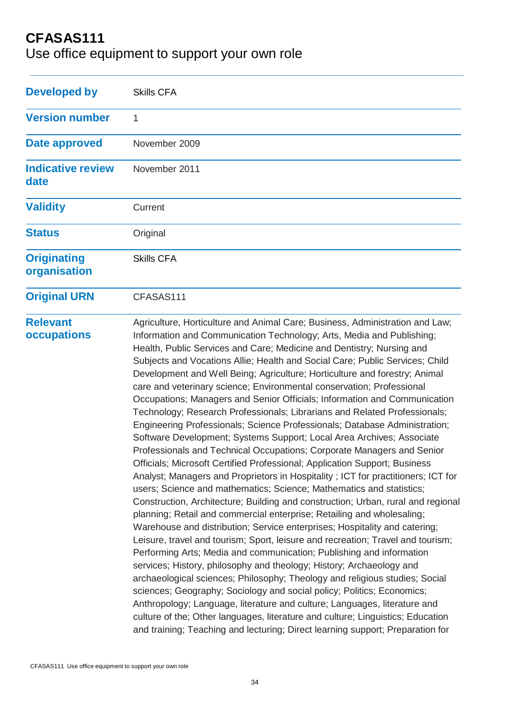Use office equipment to support your own role

| <b>Developed by</b>                | <b>Skills CFA</b>                                                                                                                                                                                                                                                                                                                                                                                                                                                                                                                                                                                                                                                                                                                                                                                                                                                                                                                                                                                                                                                                                                                                                                                                                                                                                                                                                                                                                                                                                                                                                                                                                                                                                                                                                                                                                                                                                                                                                                                    |
|------------------------------------|------------------------------------------------------------------------------------------------------------------------------------------------------------------------------------------------------------------------------------------------------------------------------------------------------------------------------------------------------------------------------------------------------------------------------------------------------------------------------------------------------------------------------------------------------------------------------------------------------------------------------------------------------------------------------------------------------------------------------------------------------------------------------------------------------------------------------------------------------------------------------------------------------------------------------------------------------------------------------------------------------------------------------------------------------------------------------------------------------------------------------------------------------------------------------------------------------------------------------------------------------------------------------------------------------------------------------------------------------------------------------------------------------------------------------------------------------------------------------------------------------------------------------------------------------------------------------------------------------------------------------------------------------------------------------------------------------------------------------------------------------------------------------------------------------------------------------------------------------------------------------------------------------------------------------------------------------------------------------------------------------|
| <b>Version number</b>              | 1                                                                                                                                                                                                                                                                                                                                                                                                                                                                                                                                                                                                                                                                                                                                                                                                                                                                                                                                                                                                                                                                                                                                                                                                                                                                                                                                                                                                                                                                                                                                                                                                                                                                                                                                                                                                                                                                                                                                                                                                    |
| Date approved                      | November 2009                                                                                                                                                                                                                                                                                                                                                                                                                                                                                                                                                                                                                                                                                                                                                                                                                                                                                                                                                                                                                                                                                                                                                                                                                                                                                                                                                                                                                                                                                                                                                                                                                                                                                                                                                                                                                                                                                                                                                                                        |
| <b>Indicative review</b><br>date   | November 2011                                                                                                                                                                                                                                                                                                                                                                                                                                                                                                                                                                                                                                                                                                                                                                                                                                                                                                                                                                                                                                                                                                                                                                                                                                                                                                                                                                                                                                                                                                                                                                                                                                                                                                                                                                                                                                                                                                                                                                                        |
| <b>Validity</b>                    | Current                                                                                                                                                                                                                                                                                                                                                                                                                                                                                                                                                                                                                                                                                                                                                                                                                                                                                                                                                                                                                                                                                                                                                                                                                                                                                                                                                                                                                                                                                                                                                                                                                                                                                                                                                                                                                                                                                                                                                                                              |
| <b>Status</b>                      | Original                                                                                                                                                                                                                                                                                                                                                                                                                                                                                                                                                                                                                                                                                                                                                                                                                                                                                                                                                                                                                                                                                                                                                                                                                                                                                                                                                                                                                                                                                                                                                                                                                                                                                                                                                                                                                                                                                                                                                                                             |
| <b>Originating</b><br>organisation | <b>Skills CFA</b>                                                                                                                                                                                                                                                                                                                                                                                                                                                                                                                                                                                                                                                                                                                                                                                                                                                                                                                                                                                                                                                                                                                                                                                                                                                                                                                                                                                                                                                                                                                                                                                                                                                                                                                                                                                                                                                                                                                                                                                    |
| <b>Original URN</b>                | CFASAS111                                                                                                                                                                                                                                                                                                                                                                                                                                                                                                                                                                                                                                                                                                                                                                                                                                                                                                                                                                                                                                                                                                                                                                                                                                                                                                                                                                                                                                                                                                                                                                                                                                                                                                                                                                                                                                                                                                                                                                                            |
| <b>Relevant</b><br>occupations     | Agriculture, Horticulture and Animal Care; Business, Administration and Law;<br>Information and Communication Technology; Arts, Media and Publishing;<br>Health, Public Services and Care; Medicine and Dentistry; Nursing and<br>Subjects and Vocations Allie; Health and Social Care; Public Services; Child<br>Development and Well Being; Agriculture; Horticulture and forestry; Animal<br>care and veterinary science; Environmental conservation; Professional<br>Occupations; Managers and Senior Officials; Information and Communication<br>Technology; Research Professionals; Librarians and Related Professionals;<br>Engineering Professionals; Science Professionals; Database Administration;<br>Software Development; Systems Support; Local Area Archives; Associate<br>Professionals and Technical Occupations; Corporate Managers and Senior<br>Officials; Microsoft Certified Professional; Application Support; Business<br>Analyst; Managers and Proprietors in Hospitality; ICT for practitioners; ICT for<br>users; Science and mathematics; Science; Mathematics and statistics;<br>Construction, Architecture; Building and construction; Urban, rural and regional<br>planning; Retail and commercial enterprise; Retailing and wholesaling;<br>Warehouse and distribution; Service enterprises; Hospitality and catering;<br>Leisure, travel and tourism; Sport, leisure and recreation; Travel and tourism;<br>Performing Arts; Media and communication; Publishing and information<br>services; History, philosophy and theology; History; Archaeology and<br>archaeological sciences; Philosophy; Theology and religious studies; Social<br>sciences; Geography; Sociology and social policy; Politics; Economics;<br>Anthropology; Language, literature and culture; Languages, literature and<br>culture of the; Other languages, literature and culture; Linguistics; Education<br>and training; Teaching and lecturing; Direct learning support; Preparation for |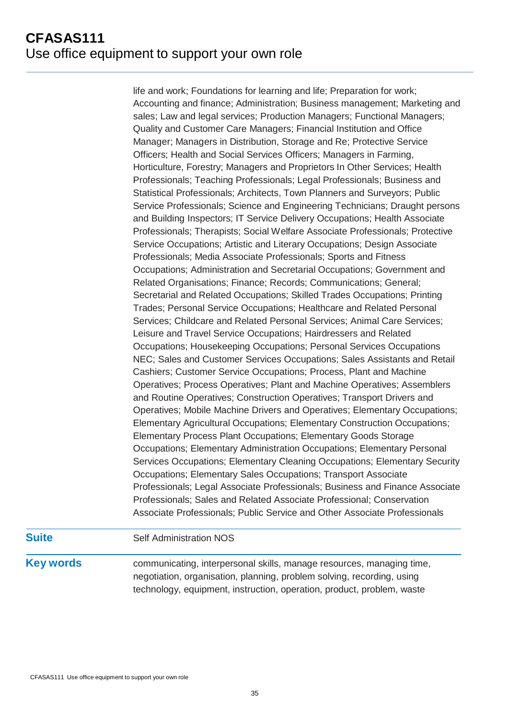life and work; Foundations for learning and life; Preparation for work; Accounting and finance; Administration; Business management; Marketing and sales; Law and legal services; Production Managers; Functional Managers; Quality and Customer Care Managers; Financial Institution and Office Manager; Managers in Distribution, Storage and Re; Protective Service Officers; Health and Social Services Officers; Managers in Farming, Horticulture, Forestry; Managers and Proprietors In Other Services; Health Professionals; Teaching Professionals; Legal Professionals; Business and Statistical Professionals; Architects, Town Planners and Surveyors; Public Service Professionals; Science and Engineering Technicians; Draught persons and Building Inspectors; IT Service Delivery Occupations; Health Associate Professionals; Therapists; Social Welfare Associate Professionals; Protective Service Occupations; Artistic and Literary Occupations; Design Associate Professionals; Media Associate Professionals; Sports and Fitness Occupations; Administration and Secretarial Occupations; Government and Related Organisations; Finance; Records; Communications; General; Secretarial and Related Occupations; Skilled Trades Occupations; Printing Trades; Personal Service Occupations; Healthcare and Related Personal Services; Childcare and Related Personal Services; Animal Care Services; Leisure and Travel Service Occupations; Hairdressers and Related Occupations; Housekeeping Occupations; Personal Services Occupations NEC; Sales and Customer Services Occupations; Sales Assistants and Retail Cashiers; Customer Service Occupations; Process, Plant and Machine Operatives; Process Operatives; Plant and Machine Operatives; Assemblers and Routine Operatives; Construction Operatives; Transport Drivers and Operatives; Mobile Machine Drivers and Operatives; Elementary Occupations; Elementary Agricultural Occupations; Elementary Construction Occupations; Elementary Process Plant Occupations; Elementary Goods Storage Occupations; Elementary Administration Occupations; Elementary Personal Services Occupations; Elementary Cleaning Occupations; Elementary Security Occupations; Elementary Sales Occupations; Transport Associate Professionals; Legal Associate Professionals; Business and Finance Associate Professionals; Sales and Related Associate Professional; Conservation Associate Professionals; Public Service and Other Associate Professionals

### **Suite** Self Administration NOS

**Key words** communicating, interpersonal skills, manage resources, managing time, negotiation, organisation, planning, problem solving, recording, using technology, equipment, instruction, operation, product, problem, waste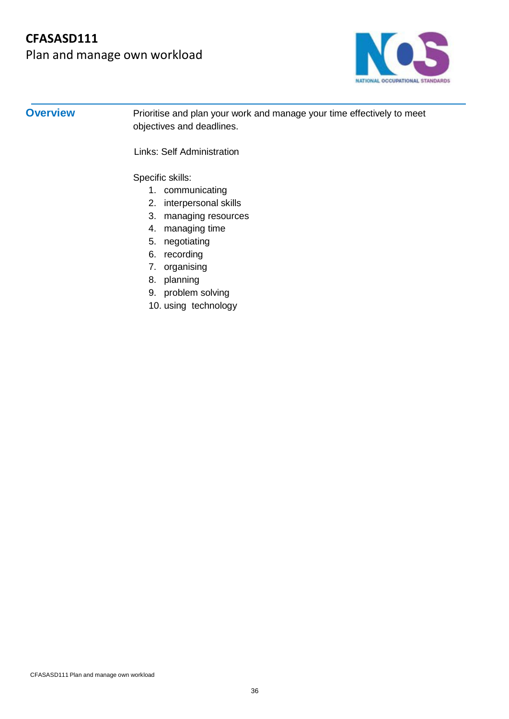Plan and manage own workload



**Overview** Prioritise and plan your work and manage your time effectively to meet objectives and deadlines.

Links: Self Administration

Specific skills:

- 1. communicating
- 2. interpersonal skills
- 3. managing resources
- 4. managing time
- 5. negotiating
- 6. recording
- 7. organising
- 8. planning
- 9. problem solving
- 10. using technology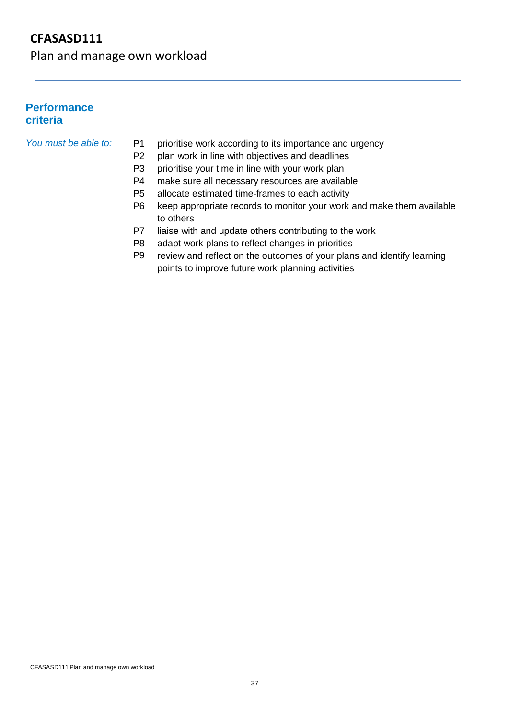Plan and manage own workload

#### **Performance criteria**

#### *You must be able to:* P1

- prioritise work according to its importance and urgency
- P2 plan work in line with objectives and deadlines
- P3 prioritise your time in line with your work plan
- P4 make sure all necessary resources are available
- P5 allocate estimated time-frames to each activity
- P6 keep appropriate records to monitor your work and make them available to others
- P7 liaise with and update others contributing to the work
- P8 adapt work plans to reflect changes in priorities
- P9 review and reflect on the outcomes of your plans and identify learning points to improve future work planning activities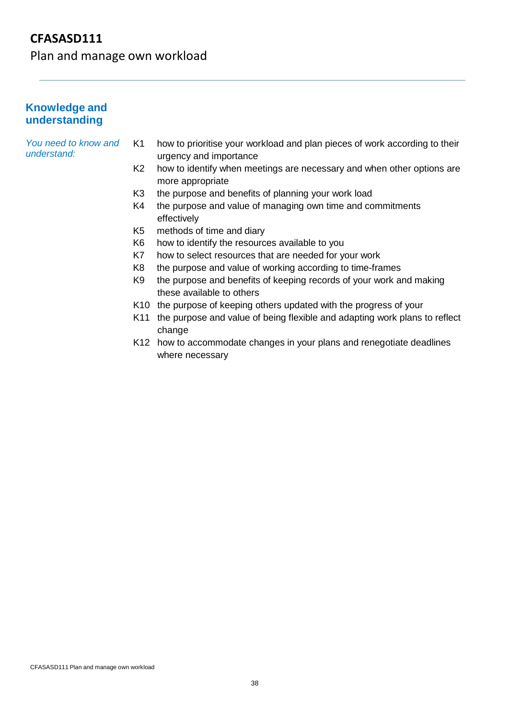Plan and manage own workload

### **Knowledge and understanding**

*You need to know and understand:*

- K1 how to prioritise your workload and plan pieces of work according to their urgency and importance
- K2 how to identify when meetings are necessary and when other options are more appropriate
- K3 the purpose and benefits of planning your work load
- K4 the purpose and value of managing own time and commitments effectively
- K5 methods of time and diary
- K6 how to identify the resources available to you
- K7 how to select resources that are needed for your work
- K8 the purpose and value of working according to time-frames
- K9 the purpose and benefits of keeping records of your work and making these available to others
- K10 the purpose of keeping others updated with the progress of your
- K11 the purpose and value of being flexible and adapting work plans to reflect change
- K12 how to accommodate changes in your plans and renegotiate deadlines where necessary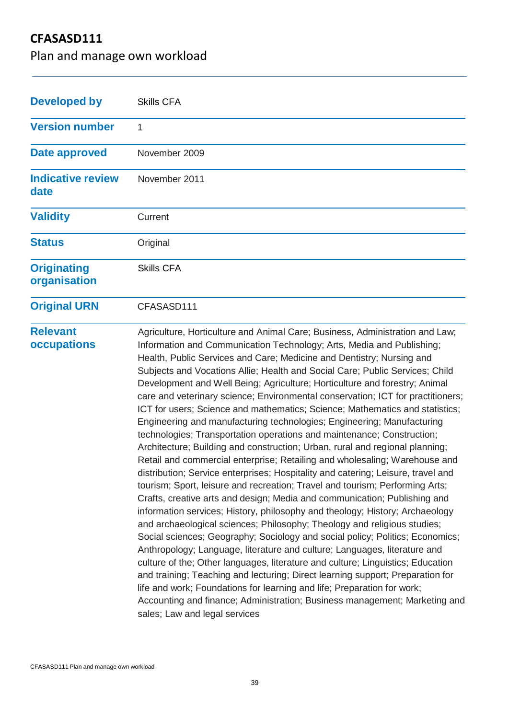Plan and manage own workload

| <b>Developed by</b>                | <b>Skills CFA</b>                                                                                                                                                                                                                                                                                                                                                                                                                                                                                                                                                                                                                                                                                                                                                                                                                                                                                                                                                                                                                                                                                                                                                                                                                                                                                                                                                                                                                                                                                                                                                                                                                                                                                                                                                                                                           |
|------------------------------------|-----------------------------------------------------------------------------------------------------------------------------------------------------------------------------------------------------------------------------------------------------------------------------------------------------------------------------------------------------------------------------------------------------------------------------------------------------------------------------------------------------------------------------------------------------------------------------------------------------------------------------------------------------------------------------------------------------------------------------------------------------------------------------------------------------------------------------------------------------------------------------------------------------------------------------------------------------------------------------------------------------------------------------------------------------------------------------------------------------------------------------------------------------------------------------------------------------------------------------------------------------------------------------------------------------------------------------------------------------------------------------------------------------------------------------------------------------------------------------------------------------------------------------------------------------------------------------------------------------------------------------------------------------------------------------------------------------------------------------------------------------------------------------------------------------------------------------|
| <b>Version number</b>              | 1                                                                                                                                                                                                                                                                                                                                                                                                                                                                                                                                                                                                                                                                                                                                                                                                                                                                                                                                                                                                                                                                                                                                                                                                                                                                                                                                                                                                                                                                                                                                                                                                                                                                                                                                                                                                                           |
| <b>Date approved</b>               | November 2009                                                                                                                                                                                                                                                                                                                                                                                                                                                                                                                                                                                                                                                                                                                                                                                                                                                                                                                                                                                                                                                                                                                                                                                                                                                                                                                                                                                                                                                                                                                                                                                                                                                                                                                                                                                                               |
| <b>Indicative review</b><br>date   | November 2011                                                                                                                                                                                                                                                                                                                                                                                                                                                                                                                                                                                                                                                                                                                                                                                                                                                                                                                                                                                                                                                                                                                                                                                                                                                                                                                                                                                                                                                                                                                                                                                                                                                                                                                                                                                                               |
| <b>Validity</b>                    | Current                                                                                                                                                                                                                                                                                                                                                                                                                                                                                                                                                                                                                                                                                                                                                                                                                                                                                                                                                                                                                                                                                                                                                                                                                                                                                                                                                                                                                                                                                                                                                                                                                                                                                                                                                                                                                     |
| <b>Status</b>                      | Original                                                                                                                                                                                                                                                                                                                                                                                                                                                                                                                                                                                                                                                                                                                                                                                                                                                                                                                                                                                                                                                                                                                                                                                                                                                                                                                                                                                                                                                                                                                                                                                                                                                                                                                                                                                                                    |
| <b>Originating</b><br>organisation | <b>Skills CFA</b>                                                                                                                                                                                                                                                                                                                                                                                                                                                                                                                                                                                                                                                                                                                                                                                                                                                                                                                                                                                                                                                                                                                                                                                                                                                                                                                                                                                                                                                                                                                                                                                                                                                                                                                                                                                                           |
| <b>Original URN</b>                | CFASASD111                                                                                                                                                                                                                                                                                                                                                                                                                                                                                                                                                                                                                                                                                                                                                                                                                                                                                                                                                                                                                                                                                                                                                                                                                                                                                                                                                                                                                                                                                                                                                                                                                                                                                                                                                                                                                  |
| <b>Relevant</b><br>occupations     | Agriculture, Horticulture and Animal Care; Business, Administration and Law;<br>Information and Communication Technology; Arts, Media and Publishing;<br>Health, Public Services and Care; Medicine and Dentistry; Nursing and<br>Subjects and Vocations Allie; Health and Social Care; Public Services; Child<br>Development and Well Being; Agriculture; Horticulture and forestry; Animal<br>care and veterinary science; Environmental conservation; ICT for practitioners;<br>ICT for users; Science and mathematics; Science; Mathematics and statistics;<br>Engineering and manufacturing technologies; Engineering; Manufacturing<br>technologies; Transportation operations and maintenance; Construction;<br>Architecture; Building and construction; Urban, rural and regional planning;<br>Retail and commercial enterprise; Retailing and wholesaling; Warehouse and<br>distribution; Service enterprises; Hospitality and catering; Leisure, travel and<br>tourism; Sport, leisure and recreation; Travel and tourism; Performing Arts;<br>Crafts, creative arts and design; Media and communication; Publishing and<br>information services; History, philosophy and theology; History; Archaeology<br>and archaeological sciences; Philosophy; Theology and religious studies;<br>Social sciences; Geography; Sociology and social policy; Politics; Economics;<br>Anthropology; Language, literature and culture; Languages, literature and<br>culture of the; Other languages, literature and culture; Linguistics; Education<br>and training; Teaching and lecturing; Direct learning support; Preparation for<br>life and work; Foundations for learning and life; Preparation for work;<br>Accounting and finance; Administration; Business management; Marketing and<br>sales; Law and legal services |